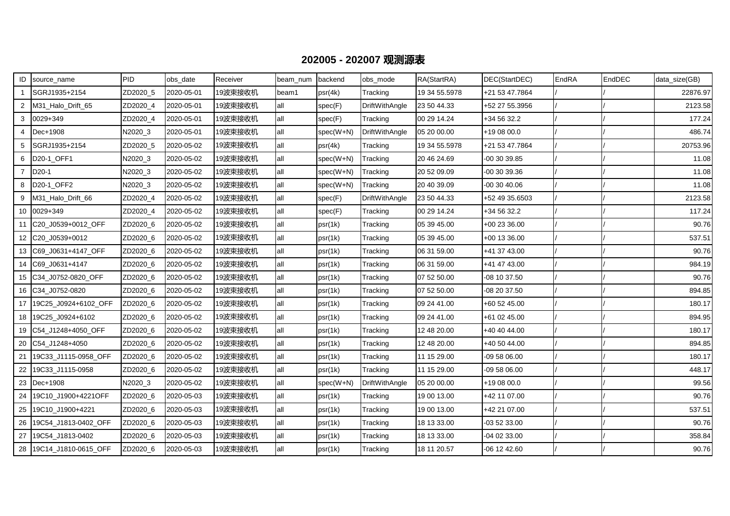## **202005 - 202007 观测源表**

| ID             | source_name             | PID      | obs_date   | Receiver | beam num | backend     | obs mode              | RA(StartRA)   | DEC(StartDEC)  | EndRA | EndDEC | data_size(GB) |
|----------------|-------------------------|----------|------------|----------|----------|-------------|-----------------------|---------------|----------------|-------|--------|---------------|
|                | SGRJ1935+2154           | ZD2020_5 | 2020-05-01 | 19波束接收机  | beam1    | psr(4k)     | Tracking              | 19 34 55.5978 | +21 53 47.7864 |       |        | 22876.97      |
| 2              | M31_Halo_Drift_65       | ZD2020_4 | 2020-05-01 | 19波束接收机  | all      | spec(F)     | <b>DriftWithAngle</b> | 23 50 44.33   | +52 27 55.3956 |       |        | 2123.58       |
| 3              | 0029+349                | ZD2020 4 | 2020-05-01 | 19波束接收机  | all      | spec(F)     | Tracking              | 00 29 14.24   | +34 56 32.2    |       |        | 177.24        |
| 4              | Dec+1908                | N2020_3  | 2020-05-01 | 19波束接收机  | all      | $spec(W+N)$ | DriftWithAngle        | 05 20 00.00   | +19 08 00.0    |       |        | 486.74        |
| 5              | SGRJ1935+2154           | ZD2020 5 | 2020-05-02 | 19波束接收机  | all      | psr(4k)     | Tracking              | 19 34 55.5978 | +21 53 47.7864 |       |        | 20753.96      |
| 6              | D20-1_OFF1              | N2020_3  | 2020-05-02 | 19波束接收机  | lall     | $spec(W+N)$ | Tracking              | 20 46 24.69   | -00 30 39.85   |       |        | 11.08         |
| $\overline{7}$ | D <sub>20</sub> -1      | N2020_3  | 2020-05-02 | 19波束接收机  | all      | spec(W+N)   | Tracking              | 20 52 09.09   | 00 30 39.36    |       |        | 11.08         |
| 8              | D20-1_OFF2              | N2020 3  | 2020-05-02 | 19波束接收机  | lall     | $spec(W+N)$ | Tracking              | 20 40 39.09   | -00 30 40.06   |       |        | 11.08         |
| 9              | M31_Halo_Drift_66       | ZD2020_4 | 2020-05-02 | 19波束接收机  | all      | spec(F)     | DriftWithAngle        | 23 50 44.33   | +52 49 35.6503 |       |        | 2123.58       |
| 10             | 0029+349                | ZD2020_4 | 2020-05-02 | 19波束接收机  | all      | spec(F)     | Tracking              | 00 29 14.24   | +34 56 32.2    |       |        | 117.24        |
|                | 11 C20_J0539+0012_OFF   | ZD2020 6 | 2020-05-02 | 19波束接收机  | lall     | psr(1k)     | Tracking              | 05 39 45.00   | +00 23 36.00   |       |        | 90.76         |
|                | 12 C20 J0539+0012       | ZD2020 6 | 2020-05-02 | 19波束接收机  | all      | psr(1k)     | Tracking              | 05 39 45.00   | +00 13 36.00   |       |        | 537.51        |
|                | 13   C69_J0631+4147_OFF | ZD2020_6 | 2020-05-02 | 19波束接收机  | all      | psr(1k)     | Tracking              | 06 31 59.00   | +41 37 43.00   |       |        | 90.76         |
| 14             | C69 J0631+4147          | ZD2020 6 | 2020-05-02 | 19波束接收机  | all      | psr(1k)     | Tracking              | 06 31 59.00   | +41 47 43.00   |       |        | 984.19        |
|                | 15 C34 J0752-0820 OFF   | ZD2020 6 | 2020-05-02 | 19波束接收机  | all      | psr(1k)     | Tracking              | 07 52 50.00   | -08 10 37.50   |       |        | 90.76         |
|                | 16 C34_J0752-0820       | ZD2020_6 | 2020-05-02 | 19波束接收机  | all      | psr(1k)     | Tracking              | 07 52 50.00   | -08 20 37.50   |       |        | 894.85        |
| 17             | 19C25 J0924+6102 OFF    | ZD2020_6 | 2020-05-02 | 19波束接收机  | all      | psr(1k)     | Tracking              | 09 24 41.00   | +60 52 45.00   |       |        | 180.17        |
|                | 18 19C25_J0924+6102     | ZD2020_6 | 2020-05-02 | 19波束接收机  | lall     | psr(1k)     | Tracking              | 09 24 41.00   | +61 02 45.00   |       |        | 894.95        |
| 19             | C54_J1248+4050_OFF      | ZD2020_6 | 2020-05-02 | 19波束接收机  | all      | psr(1k)     | Tracking              | 12 48 20.00   | +40 40 44.00   |       |        | 180.17        |
|                | 20 C54_J1248+4050       | ZD2020_6 | 2020-05-02 | 19波束接收机  | all      | psr(1k)     | Tracking              | 12 48 20.00   | +40 50 44.00   |       |        | 894.85        |
| 21             | 19C33_J1115-0958_OFF    | ZD2020_6 | 2020-05-02 | 19波束接收机  | all      | psr(1k)     | Tracking              | 11 15 29.00   | -09 58 06.00   |       |        | 180.17        |
|                | 22 19C33_J1115-0958     | ZD2020_6 | 2020-05-02 | 19波束接收机  | all      | psr(1k)     | Tracking              | 11 15 29.00   | -09 58 06.00   |       |        | 448.17        |
|                | 23 Dec+1908             | N2020 3  | 2020-05-02 | 19波束接收机  | all      | $spec(W+N)$ | <b>DriftWithAngle</b> | 05 20 00.00   | +19 08 00.0    |       |        | 99.56         |
| 24             | 19C10_J1900+4221OFF     | ZD2020_6 | 2020-05-03 | 19波束接收机  | all      | psr(1k)     | Tracking              | 19 00 13.00   | +42 11 07.00   |       |        | 90.76         |
|                | 25 19C10_J1900+4221     | ZD2020_6 | 2020-05-03 | 19波束接收机  | all      | psr(1k)     | Tracking              | 19 00 13.00   | +42 21 07.00   |       |        | 537.51        |
| 26             | 19C54 J1813-0402 OFF    | ZD2020_6 | 2020-05-03 | 19波束接收机  | all      | psr(1k)     | Tracking              | 18 13 33.00   | -03 52 33.00   |       |        | 90.76         |
| 27             | 19C54 J1813-0402        | ZD2020_6 | 2020-05-03 | 19波束接收机  | lall     | psr(1k)     | Tracking              | 18 13 33.00   | -04 02 33.00   |       |        | 358.84        |
|                | 28 19C14_J1810-0615_OFF | ZD2020_6 | 2020-05-03 | 19波束接收机  | lall     | psr(1k)     | Tracking              | 18 11 20.57   | 06 12 42.60    |       |        | 90.76         |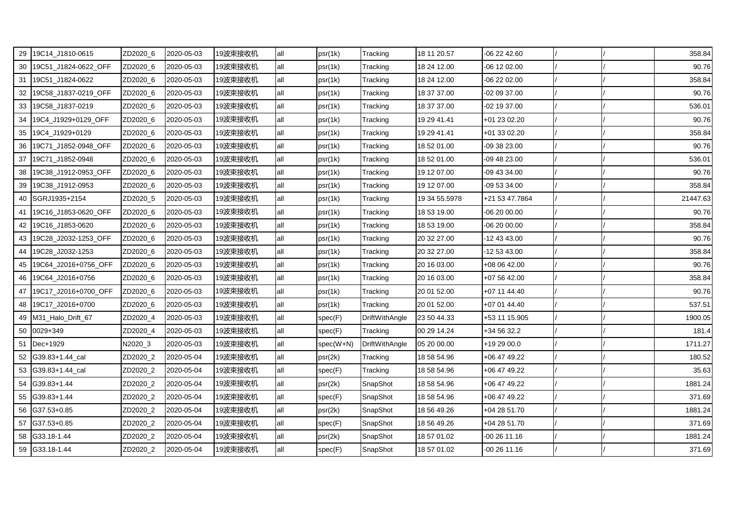|    | 29 19C14_J1810-0615       | ZD2020_6 | 2020-05-03 | 19波束接收机 | all | psr(1k)   | Tracking              | 18 11 20.57   | $-062242.60$   |  | 358.84   |
|----|---------------------------|----------|------------|---------|-----|-----------|-----------------------|---------------|----------------|--|----------|
|    | 30   19C51_J1824-0622_OFF | ZD2020_6 | 2020-05-03 | 19波束接收机 | all | psr(1k)   | Tracking              | 18 24 12.00   | -06 12 02.00   |  | 90.76    |
|    | 31   19C51_J1824-0622     | ZD2020_6 | 2020-05-03 | 19波束接收机 | all | psr(1k)   | Tracking              | 18 24 12.00   | -06 22 02.00   |  | 358.84   |
|    | 32   19C58_J1837-0219_OFF | ZD2020_6 | 2020-05-03 | 19波束接收机 | all | psr(1k)   | Tracking              | 18 37 37.00   | -02 09 37.00   |  | 90.76    |
|    | 33 19C58_J1837-0219       | ZD2020_6 | 2020-05-03 | 19波束接收机 | all | psr(1k)   | Tracking              | 18 37 37.00   | -02 19 37.00   |  | 536.01   |
|    | 34 19C4_J1929+0129_OFF    | ZD2020_6 | 2020-05-03 | 19波束接收机 | all | psr(1k)   | Tracking              | 19 29 41.41   | +01 23 02.20   |  | 90.76    |
|    | 35 19C4_J1929+0129        | ZD2020_6 | 2020-05-03 | 19波束接收机 | all | psr(1k)   | Tracking              | 19 29 41.41   | +01 33 02.20   |  | 358.84   |
|    | 36 19C71_J1852-0948_OFF   | ZD2020_6 | 2020-05-03 | 19波束接收机 | all | psr(1k)   | Tracking              | 18 52 01.00   | -09 38 23.00   |  | 90.76    |
|    | 37 19C71 J1852-0948       | ZD2020_6 | 2020-05-03 | 19波束接收机 | all | psr(1k)   | Tracking              | 18 52 01.00   | -09 48 23.00   |  | 536.01   |
| 38 | 19C38_J1912-0953_OFF      | ZD2020_6 | 2020-05-03 | 19波束接收机 | all | psr(1k)   | Tracking              | 19 12 07.00   | -09 43 34.00   |  | 90.76    |
|    | 39 19C38_J1912-0953       | ZD2020_6 | 2020-05-03 | 19波束接收机 | all | psr(1k)   | Tracking              | 19 12 07.00   | -09 53 34.00   |  | 358.84   |
|    | 40   SGRJ1935+2154        | ZD2020_5 | 2020-05-03 | 19波束接收机 | all | psr(1k)   | Tracking              | 19 34 55.5978 | +21 53 47.7864 |  | 21447.63 |
|    | 41   19C16_J1853-0620_OFF | ZD2020_6 | 2020-05-03 | 19波束接收机 | all | psr(1k)   | Tracking              | 18 53 19.00   | -06 20 00.00   |  | 90.76    |
|    | 42 19C16_J1853-0620       | ZD2020_6 | 2020-05-03 | 19波束接收机 | all | psr(1k)   | Tracking              | 18 53 19.00   | $-062000.00$   |  | 358.84   |
|    | 43 19C28_J2032-1253_OFF   | ZD2020_6 | 2020-05-03 | 19波束接收机 | all | psr(1k)   | Tracking              | 20 32 27.00   | -12 43 43.00   |  | 90.76    |
| 44 | 19C28_J2032-1253          | ZD2020_6 | 2020-05-03 | 19波束接收机 | all | psr(1k)   | Tracking              | 20 32 27.00   | -12 53 43.00   |  | 358.84   |
|    | 45 19C64_J2016+0756_OFF   | ZD2020_6 | 2020-05-03 | 19波束接收机 | all | psr(1k)   | Tracking              | 20 16 03.00   | +08 06 42.00   |  | 90.76    |
|    | 46 19C64 J2016+0756       | ZD2020_6 | 2020-05-03 | 19波束接收机 | all | psr(1k)   | Tracking              | 20 16 03.00   | +07 56 42.00   |  | 358.84   |
|    | 47 19C17_J2016+0700_OFF   | ZD2020_6 | 2020-05-03 | 19波束接收机 | all | psr(1k)   | Tracking              | 20 01 52.00   | +07 11 44.40   |  | 90.76    |
|    | 48 19C17 J2016+0700       | ZD2020_6 | 2020-05-03 | 19波束接收机 | all | psr(1k)   | Tracking              | 20 01 52.00   | +07 01 44.40   |  | 537.51   |
|    | 49   M31_Halo_Drift_67    | ZD2020_4 | 2020-05-03 | 19波束接收机 | all | spec(F)   | DriftWithAngle        | 23 50 44.33   | +53 11 15.905  |  | 1900.05  |
|    | 50 0029+349               | ZD2020_4 | 2020-05-03 | 19波束接收机 | all | spec(F)   | Tracking              | 00 29 14.24   | +34 56 32.2    |  | 181.4    |
| 51 | Dec+1929                  | N2020_3  | 2020-05-03 | 19波束接收机 | all | spec(W+N) | <b>DriftWithAngle</b> | 05 20 00.00   | +19 29 00.0    |  | 1711.27  |
|    | 52 G39.83+1.44_cal        | ZD2020_2 | 2020-05-04 | 19波束接收机 | all | psr(2k)   | Tracking              | 18 58 54.96   | +06 47 49.22   |  | 180.52   |
|    | 53 G39.83+1.44 cal        | ZD2020 2 | 2020-05-04 | 19波束接收机 | all | spec(F)   | Tracking              | 18 58 54.96   | +06 47 49.22   |  | 35.63    |
|    | 54 G39.83+1.44            | ZD2020_2 | 2020-05-04 | 19波束接收机 | all | psr(2k)   | SnapShot              | 18 58 54.96   | +06 47 49.22   |  | 1881.24  |
|    | 55 G39.83+1.44            | ZD2020_2 | 2020-05-04 | 19波束接收机 | all | spec(F)   | SnapShot              | 18 58 54.96   | +06 47 49.22   |  | 371.69   |
|    | 56 G37.53+0.85            | ZD2020_2 | 2020-05-04 | 19波束接收机 | all | psr(2k)   | SnapShot              | 18 56 49.26   | $+042851.70$   |  | 1881.24  |
|    | 57 G37.53+0.85            | ZD2020_2 | 2020-05-04 | 19波束接收机 | all | spec(F)   | SnapShot              | 18 56 49.26   | +04 28 51.70   |  | 371.69   |
| 58 | G33.18-1.44               | ZD2020_2 | 2020-05-04 | 19波束接收机 | all | psr(2k)   | SnapShot              | 18 57 01.02   | 00 26 11.16    |  | 1881.24  |
|    | 59 G33.18-1.44            | ZD2020_2 | 2020-05-04 | 19波束接收机 | all | spec(F)   | SnapShot              | 18 57 01.02   | -00 26 11.16   |  | 371.69   |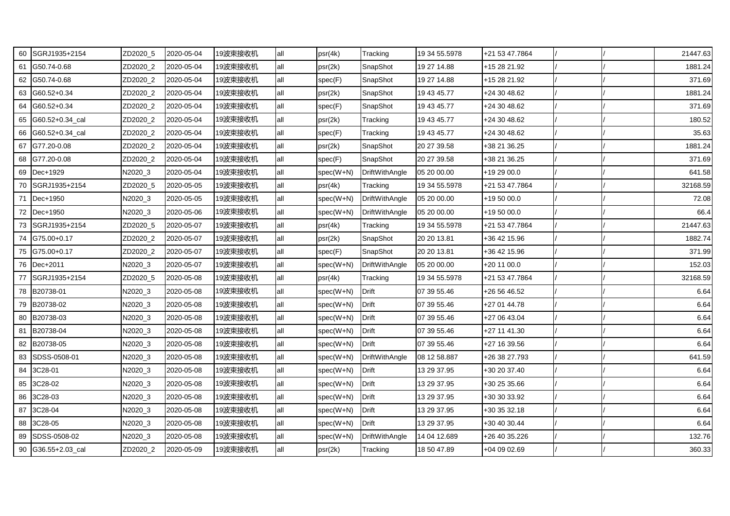| 60 | SGRJ1935+2154         | ZD2020_5 | 2020-05-04 | 19波束接收机 | all | psr(4k)     | Tracking              | 19 34 55.5978 | +21 53 47.7864 |  | 21447.63 |
|----|-----------------------|----------|------------|---------|-----|-------------|-----------------------|---------------|----------------|--|----------|
| 61 | G50.74-0.68           | ZD2020_2 | 2020-05-04 | 19波束接收机 | all | psr(2k)     | SnapShot              | 19 27 14.88   | +15 28 21.92   |  | 1881.24  |
| 62 | G50.74-0.68           | ZD2020_2 | 2020-05-04 | 19波束接收机 | all | spec(F)     | SnapShot              | 19 27 14.88   | +15 28 21.92   |  | 371.69   |
| 63 | G60.52+0.34           | ZD2020 2 | 2020-05-04 | 19波束接收机 | all | psr(2k)     | SnapShot              | 19 43 45.77   | +24 30 48.62   |  | 1881.24  |
| 64 | G60.52+0.34           | ZD2020_2 | 2020-05-04 | 19波束接收机 | all | spec(F)     | SnapShot              | 19 43 45.77   | +24 30 48.62   |  | 371.69   |
| 65 | G60.52+0.34_cal       | ZD2020_2 | 2020-05-04 | 19波束接收机 | all | psr(2k)     | Tracking              | 19 43 45.77   | +24 30 48.62   |  | 180.52   |
|    | 66 G60.52+0.34 cal    | ZD2020 2 | 2020-05-04 | 19波束接收机 | all | spec(F)     | Tracking              | 19 43 45.77   | +24 30 48.62   |  | 35.63    |
| 67 | G77.20-0.08           | ZD2020_2 | 2020-05-04 | 19波束接收机 | all | psr(2k)     | SnapShot              | 20 27 39.58   | +38 21 36.25   |  | 1881.24  |
| 68 | G77.20-0.08           | ZD2020_2 | 2020-05-04 | 19波束接收机 | all | spec(F)     | SnapShot              | 20 27 39.58   | +38 21 36.25   |  | 371.69   |
| 69 | Dec+1929              | N2020_3  | 2020-05-04 | 19波束接收机 | all | spec(W+N)   | DriftWithAngle        | 05 20 00.00   | +19 29 00.0    |  | 641.58   |
| 70 | SGRJ1935+2154         | ZD2020_5 | 2020-05-05 | 19波束接收机 | all | psr(4k)     | Tracking              | 19 34 55.5978 | +21 53 47.7864 |  | 32168.59 |
|    | 71 Dec+1950           | N2020_3  | 2020-05-05 | 19波束接收机 | all | spec(W+N)   | <b>DriftWithAngle</b> | 05 20 00.00   | +19 50 00.0    |  | 72.08    |
|    | 72 Dec+1950           | N2020 3  | 2020-05-06 | 19波束接收机 | all | spec(W+N)   | <b>DriftWithAngle</b> | 05 20 00.00   | +19 50 00.0    |  | 66.4     |
|    | 73 SGRJ1935+2154      | ZD2020_5 | 2020-05-07 | 19波束接收机 | all | psr(4k)     | Tracking              | 19 34 55.5978 | +21 53 47.7864 |  | 21447.63 |
| 74 | G75.00+0.17           | ZD2020_2 | 2020-05-07 | 19波束接收机 | all | psr(2k)     | SnapShot              | 20 20 13.81   | +36 42 15.96   |  | 1882.74  |
| 75 | G75.00+0.17           | ZD2020_2 | 2020-05-07 | 19波束接收机 | all | spec(F)     | SnapShot              | 20 20 13.81   | +36 42 15.96   |  | 371.99   |
|    | 76 Dec+2011           | N2020_3  | 2020-05-07 | 19波束接收机 | all | $spec(W+N)$ | <b>DriftWithAngle</b> | 05 20 00.00   | +20 11 00.0    |  | 152.03   |
| 77 | <b>ISGRJ1935+2154</b> | ZD2020_5 | 2020-05-08 | 19波束接收机 | all | psr(4k)     | Tracking              | 19 34 55.5978 | +21 53 47.7864 |  | 32168.59 |
|    | 78 B20738-01          | N2020_3  | 2020-05-08 | 19波束接收机 | all | spec(W+N)   | <b>Drift</b>          | 07 39 55.46   | +26 56 46.52   |  | 6.64     |
| 79 | B20738-02             | N2020_3  | 2020-05-08 | 19波束接收机 | all | $spec(W+N)$ | <b>Drift</b>          | 07 39 55.46   | +27 01 44.78   |  | 6.64     |
| 80 | B20738-03             | N2020_3  | 2020-05-08 | 19波束接收机 | all | spec(W+N)   | Drift                 | 07 39 55.46   | +27 06 43.04   |  | 6.64     |
| 81 | B20738-04             | N2020_3  | 2020-05-08 | 19波束接收机 | all | $spec(W+N)$ | <b>Drift</b>          | 07 39 55.46   | +27 11 41.30   |  | 6.64     |
| 82 | B20738-05             | N2020_3  | 2020-05-08 | 19波束接收机 | all | $spec(W+N)$ | Drift                 | 07 39 55.46   | +27 16 39.56   |  | 6.64     |
| 83 | SDSS-0508-01          | N2020_3  | 2020-05-08 | 19波束接收机 | all | spec(W+N)   | <b>DriftWithAngle</b> | 08 12 58.887  | +26 38 27.793  |  | 641.59   |
| 84 | 3C28-01               | N2020_3  | 2020-05-08 | 19波束接收机 | all | spec(W+N)   | Drift                 | 13 29 37.95   | +30 20 37.40   |  | 6.64     |
| 85 | 3C28-02               | N2020_3  | 2020-05-08 | 19波束接收机 | all | spec(W+N)   | Drift                 | 13 29 37.95   | +30 25 35.66   |  | 6.64     |
| 86 | 3C28-03               | N2020_3  | 2020-05-08 | 19波束接收机 | all | spec(W+N)   | <b>Drift</b>          | 13 29 37.95   | +30 30 33.92   |  | 6.64     |
| 87 | 3C28-04               | N2020_3  | 2020-05-08 | 19波束接收机 | all | $spec(W+N)$ | Drift                 | 13 29 37.95   | +30 35 32.18   |  | 6.64     |
| 88 | 3C28-05               | N2020_3  | 2020-05-08 | 19波束接收机 | all | spec(W+N)   | Drift                 | 13 29 37.95   | +30 40 30.44   |  | 6.64     |
| 89 | SDSS-0508-02          | N2020_3  | 2020-05-08 | 19波束接收机 | all | $spec(W+N)$ | <b>DriftWithAngle</b> | 14 04 12.689  | +26 40 35.226  |  | 132.76   |
|    | 90 G36.55+2.03_cal    | ZD2020_2 | 2020-05-09 | 19波束接收机 | all | psr(2k)     | Tracking              | 18 50 47.89   | +04 09 02.69   |  | 360.33   |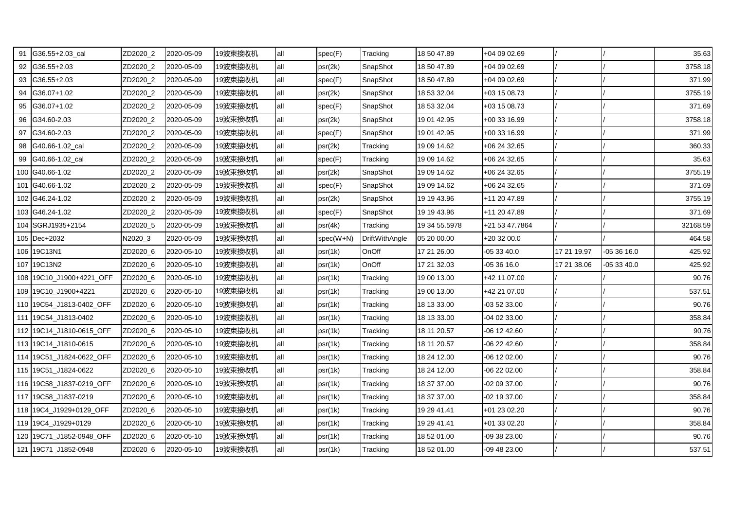|    | G36.55+2.03_cal          | ZD2020_2 | 2020-05-09 | 19波束接收机 | all | spec(F)   | Tracking              | 18 50 47.89   | +04 09 02.69   |             |             | 35.63    |
|----|--------------------------|----------|------------|---------|-----|-----------|-----------------------|---------------|----------------|-------------|-------------|----------|
|    | 92 G36.55+2.03           | ZD2020_2 | 2020-05-09 | 19波束接收机 | all | psr(2k)   | SnapShot              | 18 50 47.89   | +04 09 02.69   |             |             | 3758.18  |
| 93 | $G36.55 + 2.03$          | ZD2020_2 | 2020-05-09 | 19波束接收机 | all | spec(F)   | SnapShot              | 18 50 47.89   | +04 09 02.69   |             |             | 371.99   |
| 94 | G36.07+1.02              | ZD2020 2 | 2020-05-09 | 19波束接收机 | all | psr(2k)   | SnapShot              | 18 53 32.04   | +03 15 08.73   |             |             | 3755.19  |
| 95 | G36.07+1.02              | ZD2020_2 | 2020-05-09 | 19波束接收机 | all | spec(F)   | SnapShot              | 18 53 32.04   | +03 15 08.73   |             |             | 371.69   |
| 96 | G34.60-2.03              | ZD2020_2 | 2020-05-09 | 19波束接收机 | all | psr(2k)   | SnapShot              | 19 01 42.95   | +00 33 16.99   |             |             | 3758.18  |
| 97 | G34.60-2.03              | ZD2020_2 | 2020-05-09 | 19波束接收机 | all | spec(F)   | SnapShot              | 19 01 42.95   | +00 33 16.99   |             |             | 371.99   |
| 98 | G40.66-1.02_cal          | ZD2020_2 | 2020-05-09 | 19波束接收机 | all | psr(2k)   | Tracking              | 19 09 14.62   | +06 24 32.65   |             |             | 360.33   |
| 99 | G40.66-1.02_cal          | ZD2020_2 | 2020-05-09 | 19波束接收机 | all | spec(F)   | Tracking              | 19 09 14.62   | +06 24 32.65   |             |             | 35.63    |
|    | 100 G40.66-1.02          | ZD2020_2 | 2020-05-09 | 19波束接收机 | all | psr(2k)   | SnapShot              | 19 09 14.62   | +06 24 32.65   |             |             | 3755.19  |
|    | 101 G40.66-1.02          | ZD2020_2 | 2020-05-09 | 19波束接收机 | all | spec(F)   | SnapShot              | 19 09 14.62   | +06 24 32.65   |             |             | 371.69   |
|    | 102 G46.24-1.02          | ZD2020_2 | 2020-05-09 | 19波束接收机 | all | psr(2k)   | SnapShot              | 19 19 43.96   | +11 20 47.89   |             |             | 3755.19  |
|    | 103 G46.24-1.02          | ZD2020_2 | 2020-05-09 | 19波束接收机 | all | spec(F)   | SnapShot              | 19 19 43.96   | +11 20 47.89   |             |             | 371.69   |
|    | 104 SGRJ1935+2154        | ZD2020_5 | 2020-05-09 | 19波束接收机 | all | psr(4k)   | Tracking              | 19 34 55.5978 | +21 53 47.7864 |             |             | 32168.59 |
|    | 105 Dec+2032             | N2020_3  | 2020-05-09 | 19波束接收机 | all | spec(W+N) | <b>DriftWithAngle</b> | 05 20 00.00   | +20 32 00.0    |             |             | 464.58   |
|    | 106 19C13N1              | ZD2020_6 | 2020-05-10 | 19波束接收机 | all | psr(1k)   | OnOff                 | 17 21 26.00   | -05 33 40.0    | 17 21 19.97 | $-053616.0$ | 425.92   |
|    | 107 19C13N2              | ZD2020_6 | 2020-05-10 | 19波束接收机 | all | psr(1k)   | OnOff                 | 17 21 32.03   | -05 36 16.0    | 17 21 38.06 | -05 33 40.0 | 425.92   |
|    | 108 19C10_J1900+4221_OFF | ZD2020_6 | 2020-05-10 | 19波束接收机 | all | psr(1k)   | Tracking              | 19 00 13.00   | +42 11 07.00   |             |             | 90.76    |
|    | 109 19C10_J1900+4221     | ZD2020_6 | 2020-05-10 | 19波束接收机 | all | psr(1k)   | Tracking              | 19 00 13.00   | +42 21 07.00   |             |             | 537.51   |
|    | 110 19C54 J1813-0402 OFF | ZD2020_6 | 2020-05-10 | 19波束接收机 | all | psr(1k)   | Tracking              | 18 13 33.00   | -03 52 33.00   |             |             | 90.76    |
|    | 111 19C54_J1813-0402     | ZD2020_6 | 2020-05-10 | 19波束接收机 | all | psr(1k)   | Tracking              | 18 13 33.00   | -04 02 33.00   |             |             | 358.84   |
|    | 112 19C14_J1810-0615_OFF | ZD2020_6 | 2020-05-10 | 19波束接收机 | all | psr(1k)   | Tracking              | 18 11 20.57   | -06 12 42.60   |             |             | 90.76    |
|    | 113 19C14 J1810-0615     | ZD2020_6 | 2020-05-10 | 19波束接收机 | all | psr(1k)   | Tracking              | 18 11 20.57   | -06 22 42.60   |             |             | 358.84   |
|    | 114 19C51_J1824-0622_OFF | ZD2020_6 | 2020-05-10 | 19波束接收机 | all | psr(1k)   | Tracking              | 18 24 12.00   | -06 12 02.00   |             |             | 90.76    |
|    | 115 19C51 J1824-0622     | ZD2020 6 | 2020-05-10 | 19波束接收机 | all | psr(1k)   | Tracking              | 18 24 12.00   | 06 22 02.00    |             |             | 358.84   |
|    | 116 19C58_J1837-0219_OFF | ZD2020_6 | 2020-05-10 | 19波束接收机 | all | psr(1k)   | Tracking              | 18 37 37.00   | -02 09 37.00   |             |             | 90.76    |
|    | 117 19C58 J1837-0219     | ZD2020_6 | 2020-05-10 | 19波束接收机 | all | psr(1k)   | Tracking              | 18 37 37.00   | -02 19 37.00   |             |             | 358.84   |
|    | 118 19C4_J1929+0129_OFF  | ZD2020_6 | 2020-05-10 | 19波束接收机 | all | psr(1k)   | Tracking              | 19 29 41.41   | +01 23 02.20   |             |             | 90.76    |
|    | 119 19C4_J1929+0129      | ZD2020_6 | 2020-05-10 | 19波束接收机 | all | psr(1k)   | Tracking              | 19 29 41.41   | +01 33 02.20   |             |             | 358.84   |
|    | 120 19C71_J1852-0948_OFF | ZD2020_6 | 2020-05-10 | 19波束接收机 | all | psr(1k)   | Tracking              | 18 52 01.00   | 09 38 23.00    |             |             | 90.76    |
|    | 121 19C71_J1852-0948     | ZD2020_6 | 2020-05-10 | 19波束接收机 | all | psr(1k)   | Tracking              | 18 52 01.00   | -09 48 23.00   |             |             | 537.51   |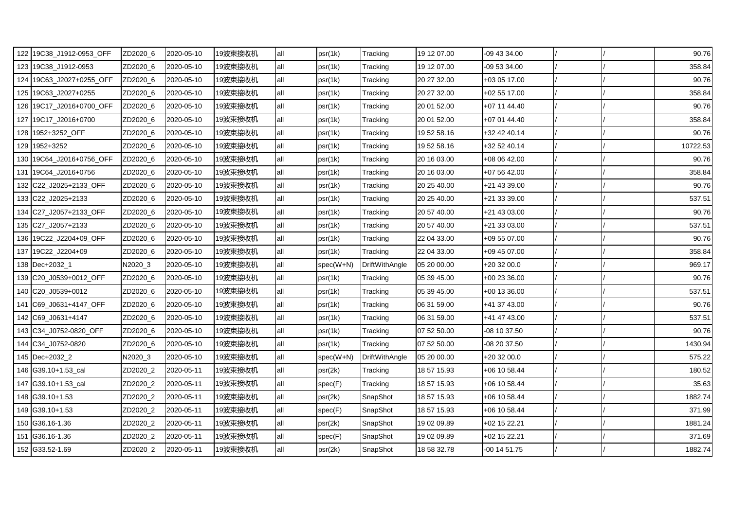| 122 19C38_J1912-0953_OFF | ZD2020_6 | 2020-05-10 | 19波束接收机 | all  | psr(1k)     | Tracking              | 19 12 07.00 | -09 43 34.00 |  | 90.76    |
|--------------------------|----------|------------|---------|------|-------------|-----------------------|-------------|--------------|--|----------|
| 123 19C38_J1912-0953     | ZD2020_6 | 2020-05-10 | 19波束接收机 | all  | psr(1k)     | Tracking              | 19 12 07.00 | -09 53 34.00 |  | 358.84   |
| 124 19C63_J2027+0255_OFF | ZD2020_6 | 2020-05-10 | 19波束接收机 | all  | psr(1k)     | Tracking              | 20 27 32.00 | +03 05 17.00 |  | 90.76    |
| 125 19C63_J2027+0255     | ZD2020_6 | 2020-05-10 | 19波束接收机 | all  | psr(1k)     | Tracking              | 20 27 32.00 | +02 55 17.00 |  | 358.84   |
| 126 19C17_J2016+0700_OFF | ZD2020_6 | 2020-05-10 | 19波束接收机 | all  | psr(1k)     | Tracking              | 20 01 52.00 | +07 11 44.40 |  | 90.76    |
| 127 19C17 J2016+0700     | ZD2020_6 | 2020-05-10 | 19波束接收机 | all  | psr(1k)     | Tracking              | 20 01 52.00 | +07 01 44.40 |  | 358.84   |
| 128 1952+3252_OFF        | ZD2020_6 | 2020-05-10 | 19波束接收机 | lall | psr(1k)     | Tracking              | 19 52 58.16 | +32 42 40.14 |  | 90.76    |
| 129 1952+3252            | ZD2020_6 | 2020-05-10 | 19波束接收机 | all  | psr(1k)     | Tracking              | 19 52 58.16 | +32 52 40.14 |  | 10722.53 |
| 130 19C64_J2016+0756_OFF | ZD2020_6 | 2020-05-10 | 19波束接收机 | all  | psr(1k)     | Tracking              | 20 16 03.00 | +08 06 42.00 |  | 90.76    |
| 131 19C64_J2016+0756     | ZD2020_6 | 2020-05-10 | 19波束接收机 | all  | psr(1k)     | Tracking              | 20 16 03.00 | +07 56 42.00 |  | 358.84   |
| 132 C22_J2025+2133_OFF   | ZD2020_6 | 2020-05-10 | 19波束接收机 | all  | psr(1k)     | Tracking              | 20 25 40.00 | +21 43 39.00 |  | 90.76    |
| 133 C22_J2025+2133       | ZD2020_6 | 2020-05-10 | 19波束接收机 | all  | psr(1k)     | Tracking              | 20 25 40.00 | +21 33 39.00 |  | 537.51   |
| 134 C27 J2057+2133 OFF   | ZD2020 6 | 2020-05-10 | 19波束接收机 | all  | psr(1k)     | Tracking              | 20 57 40.00 | +21 43 03.00 |  | 90.76    |
| 135 C27_J2057+2133       | ZD2020_6 | 2020-05-10 | 19波束接收机 | all  | psr(1k)     | Tracking              | 20 57 40.00 | +21 33 03.00 |  | 537.51   |
| 136 19C22_J2204+09_OFF   | ZD2020_6 | 2020-05-10 | 19波束接收机 | all  | psr(1k)     | Tracking              | 22 04 33.00 | +09 55 07.00 |  | 90.76    |
| 137 19C22_J2204+09       | ZD2020_6 | 2020-05-10 | 19波束接收机 | all  | psr(1k)     | Tracking              | 22 04 33.00 | +09 45 07.00 |  | 358.84   |
| 138 Dec+2032_1           | N2020_3  | 2020-05-10 | 19波束接收机 | all  | $spec(W+N)$ | <b>DriftWithAngle</b> | 05 20 00.00 | +20 32 00.0  |  | 969.17   |
| 139 C20 J0539+0012 OFF   | ZD2020 6 | 2020-05-10 | 19波束接收机 | all  | psr(1k)     | Tracking              | 05 39 45.00 | +00 23 36.00 |  | 90.76    |
| 140 C20_J0539+0012       | ZD2020_6 | 2020-05-10 | 19波束接收机 | all  | psr(1k)     | Tracking              | 05 39 45.00 | +00 13 36.00 |  | 537.51   |
| 141 C69_J0631+4147_OFF   | ZD2020_6 | 2020-05-10 | 19波束接收机 | all  | psr(1k)     | Tracking              | 06 31 59.00 | +41 37 43.00 |  | 90.76    |
| 142 C69_J0631+4147       | ZD2020_6 | 2020-05-10 | 19波束接收机 | all  | psr(1k)     | Tracking              | 06 31 59.00 | +41 47 43.00 |  | 537.51   |
| 143 C34_J0752-0820_OFF   | ZD2020_6 | 2020-05-10 | 19波束接收机 | all  | psr(1k)     | Tracking              | 07 52 50.00 | -08 10 37.50 |  | 90.76    |
| 144 C34 J0752-0820       | ZD2020 6 | 2020-05-10 | 19波束接收机 | all  | psr(1k)     | Tracking              | 07 52 50.00 | 08 20 37.50  |  | 1430.94  |
| 145 Dec+2032_2           | N2020_3  | 2020-05-10 | 19波束接收机 | all  | spec(W+N)   | DriftWithAngle        | 05 20 00.00 | +20 32 00.0  |  | 575.22   |
| 146 G39.10+1.53_cal      | ZD2020_2 | 2020-05-11 | 19波束接收机 | all  | psr(2k)     | Tracking              | 18 57 15.93 | +06 10 58.44 |  | 180.52   |
| 147 G39.10+1.53_cal      | ZD2020_2 | 2020-05-11 | 19波束接收机 | all  | spec(F)     | Tracking              | 18 57 15.93 | +06 10 58.44 |  | 35.63    |
| 148 G39.10+1.53          | ZD2020_2 | 2020-05-11 | 19波束接收机 | all  | psr(2k)     | SnapShot              | 18 57 15.93 | +06 10 58.44 |  | 1882.74  |
| 149 G39.10+1.53          | ZD2020_2 | 2020-05-11 | 19波束接收机 | all  | spec(F)     | SnapShot              | 18 57 15.93 | +06 10 58.44 |  | 371.99   |
| 150 G36.16-1.36          | ZD2020_2 | 2020-05-11 | 19波束接收机 | all  | psr(2k)     | SnapShot              | 19 02 09.89 | +02 15 22.21 |  | 1881.24  |
| 151 G36.16-1.36          | ZD2020_2 | 2020-05-11 | 19波束接收机 | all  | spec(F)     | SnapShot              | 19 02 09.89 | +02 15 22.21 |  | 371.69   |
| 152 G33.52-1.69          | ZD2020 2 | 2020-05-11 | 19波束接收机 | all  | psr(2k)     | SnapShot              | 18 58 32.78 | -00 14 51.75 |  | 1882.74  |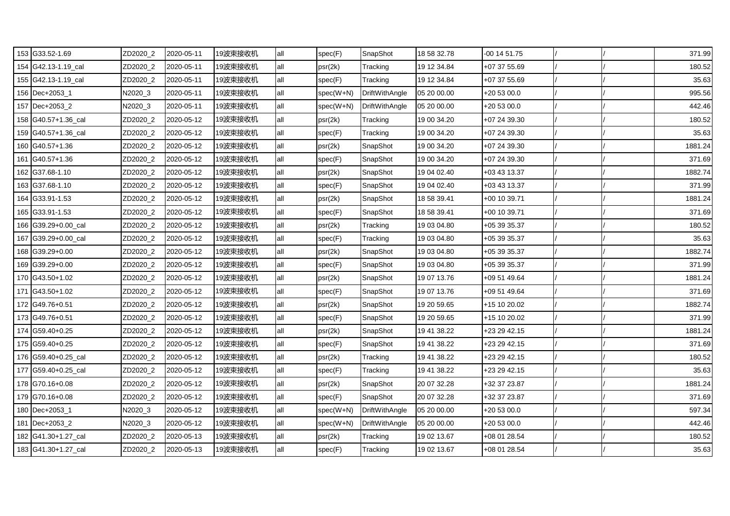| 153 G33.52-1.69     | ZD2020_2 | 2020-05-11 | 19波束接收机 | all | spec(F)     | SnapShot              | 18 58 32.78 | -00 14 51.75 |  | 371.99  |
|---------------------|----------|------------|---------|-----|-------------|-----------------------|-------------|--------------|--|---------|
| 154 G42.13-1.19 cal | ZD2020_2 | 2020-05-11 | 19波束接收机 | all | psr(2k)     | Tracking              | 19 12 34.84 | +07 37 55.69 |  | 180.52  |
| 155 G42.13-1.19 cal | ZD2020_2 | 2020-05-11 | 19波束接收机 | all | spec(F)     | Tracking              | 19 12 34.84 | +07 37 55.69 |  | 35.63   |
| 156 Dec+2053_1      | N2020_3  | 2020-05-11 | 19波束接收机 | all | spec(W+N)   | DriftWithAngle        | 05 20 00.00 | +20 53 00.0  |  | 995.56  |
| 157 Dec+2053_2      | N2020_3  | 2020-05-11 | 19波束接收机 | all | $spec(W+N)$ | DriftWithAngle        | 05 20 00.00 | +20 53 00.0  |  | 442.46  |
| 158 G40.57+1.36_cal | ZD2020_2 | 2020-05-12 | 19波束接收机 | all | psr(2k)     | Tracking              | 19 00 34.20 | +07 24 39.30 |  | 180.52  |
| 159 G40.57+1.36 cal | ZD2020_2 | 2020-05-12 | 19波束接收机 | all | spec(F)     | Tracking              | 19 00 34.20 | +07 24 39.30 |  | 35.63   |
| 160 G40.57+1.36     | ZD2020_2 | 2020-05-12 | 19波束接收机 | all | psr(2k)     | SnapShot              | 19 00 34.20 | +07 24 39.30 |  | 1881.24 |
| 161 G40.57+1.36     | ZD2020_2 | 2020-05-12 | 19波束接收机 | all | spec(F)     | SnapShot              | 19 00 34.20 | +07 24 39.30 |  | 371.69  |
| 162 G37.68-1.10     | ZD2020_2 | 2020-05-12 | 19波束接收机 | all | psr(2k)     | SnapShot              | 19 04 02.40 | +03 43 13.37 |  | 1882.74 |
| 163 G37.68-1.10     | ZD2020_2 | 2020-05-12 | 19波束接收机 | all | spec(F)     | SnapShot              | 19 04 02.40 | +03 43 13.37 |  | 371.99  |
| 164 G33.91-1.53     | ZD2020_2 | 2020-05-12 | 19波束接收机 | all | psr(2k)     | SnapShot              | 18 58 39.41 | +00 10 39.71 |  | 1881.24 |
| 165 G33.91-1.53     | ZD2020_2 | 2020-05-12 | 19波束接收机 | all | spec(F)     | SnapShot              | 18 58 39.41 | +00 10 39.71 |  | 371.69  |
| 166 G39.29+0.00_cal | ZD2020_2 | 2020-05-12 | 19波束接收机 | all | psr(2k)     | Tracking              | 19 03 04.80 | +05 39 35.37 |  | 180.52  |
| 167 G39.29+0.00 cal | ZD2020_2 | 2020-05-12 | 19波束接收机 | all | spec(F)     | Tracking              | 19 03 04.80 | +05 39 35.37 |  | 35.63   |
| 168 G39.29+0.00     | ZD2020_2 | 2020-05-12 | 19波束接收机 | all | psr(2k)     | SnapShot              | 19 03 04.80 | +05 39 35.37 |  | 1882.74 |
| 169 G39.29+0.00     | ZD2020_2 | 2020-05-12 | 19波束接收机 | all | spec(F)     | SnapShot              | 19 03 04.80 | +05 39 35.37 |  | 371.99  |
| 170 G43.50+1.02     | ZD2020_2 | 2020-05-12 | 19波束接收机 | all | psr(2k)     | SnapShot              | 19 07 13.76 | +09 51 49.64 |  | 1881.24 |
| 171 G43.50+1.02     | ZD2020_2 | 2020-05-12 | 19波束接收机 | all | spec(F)     | SnapShot              | 19 07 13.76 | +09 51 49.64 |  | 371.69  |
| 172 G49.76+0.51     | ZD2020_2 | 2020-05-12 | 19波束接收机 | all | psr(2k)     | SnapShot              | 19 20 59.65 | +15 10 20.02 |  | 1882.74 |
| 173 G49.76+0.51     | ZD2020_2 | 2020-05-12 | 19波束接收机 | all | spec(F)     | SnapShot              | 19 20 59.65 | +15 10 20.02 |  | 371.99  |
| 174 G59.40+0.25     | ZD2020_2 | 2020-05-12 | 19波束接收机 | all | psr(2k)     | SnapShot              | 19 41 38.22 | +23 29 42.15 |  | 1881.24 |
| 175 G59.40+0.25     | ZD2020_2 | 2020-05-12 | 19波束接收机 | all | spec(F)     | SnapShot              | 19 41 38.22 | +23 29 42.15 |  | 371.69  |
| 176 G59.40+0.25_cal | ZD2020_2 | 2020-05-12 | 19波束接收机 | all | psr(2k)     | Tracking              | 19 41 38.22 | +23 29 42.15 |  | 180.52  |
| 177 G59.40+0.25 cal | ZD2020 2 | 2020-05-12 | 19波束接收机 | all | spec(F)     | Tracking              | 19 41 38.22 | +23 29 42.15 |  | 35.63   |
| 178 G70.16+0.08     | ZD2020_2 | 2020-05-12 | 19波束接收机 | all | psr(2k)     | SnapShot              | 20 07 32.28 | +32 37 23.87 |  | 1881.24 |
| 179 G70.16+0.08     | ZD2020_2 | 2020-05-12 | 19波束接收机 | all | spec(F)     | SnapShot              | 20 07 32.28 | +32 37 23.87 |  | 371.69  |
| 180 Dec+2053 1      | N2020_3  | 2020-05-12 | 19波束接收机 | all | $spec(W+N)$ | <b>DriftWithAngle</b> | 05 20 00.00 | +20 53 00.0  |  | 597.34  |
| 181 Dec+2053_2      | N2020_3  | 2020-05-12 | 19波束接收机 | all | spec(W+N)   | DriftWithAngle        | 05 20 00.00 | +20 53 00.0  |  | 442.46  |
| 182 G41.30+1.27_cal | ZD2020_2 | 2020-05-13 | 19波束接收机 | all | psr(2k)     | Tracking              | 19 02 13.67 | +08 01 28.54 |  | 180.52  |
| 183 G41.30+1.27_cal | ZD2020_2 | 2020-05-13 | 19波束接收机 | all | spec(F)     | Tracking              | 19 02 13.67 | +08 01 28.54 |  | 35.63   |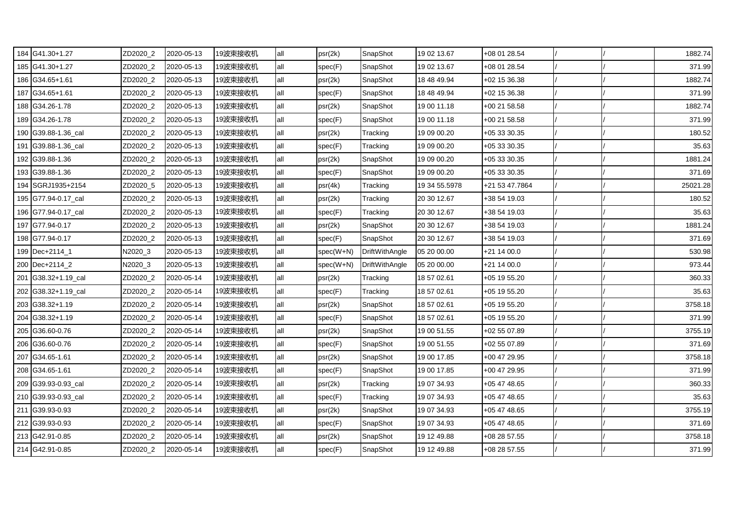| 184 G41.30+1.27     | ZD2020_2 | 2020-05-13 | 19波束接收机 | all | psr(2k)   | SnapShot       | 19 02 13.67   | +08 01 28.54   |  | 1882.74  |
|---------------------|----------|------------|---------|-----|-----------|----------------|---------------|----------------|--|----------|
| 185 G41.30+1.27     | ZD2020_2 | 2020-05-13 | 19波束接收机 | all | spec(F)   | SnapShot       | 19 02 13.67   | +08 01 28.54   |  | 371.99   |
| 186 G34.65+1.61     | ZD2020_2 | 2020-05-13 | 19波束接收机 | all | psr(2k)   | SnapShot       | 18 48 49.94   | +02 15 36.38   |  | 1882.74  |
| 187 G34.65+1.61     | ZD2020_2 | 2020-05-13 | 19波束接收机 | all | spec(F)   | SnapShot       | 18 48 49.94   | +02 15 36.38   |  | 371.99   |
| 188 G34.26-1.78     | ZD2020_2 | 2020-05-13 | 19波束接收机 | all | psr(2k)   | SnapShot       | 19 00 11.18   | +00 21 58.58   |  | 1882.74  |
| 189 G34.26-1.78     | ZD2020_2 | 2020-05-13 | 19波束接收机 | all | spec(F)   | SnapShot       | 19 00 11.18   | +00 21 58.58   |  | 371.99   |
| 190 G39.88-1.36 cal | ZD2020_2 | 2020-05-13 | 19波束接收机 | all | psr(2k)   | Tracking       | 19 09 00.20   | +05 33 30.35   |  | 180.52   |
| 191 G39.88-1.36_cal | ZD2020_2 | 2020-05-13 | 19波束接收机 | all | spec(F)   | Tracking       | 19 09 00.20   | +05 33 30.35   |  | 35.63    |
| 192 G39.88-1.36     | ZD2020_2 | 2020-05-13 | 19波束接收机 | all | psr(2k)   | SnapShot       | 19 09 00.20   | +05 33 30.35   |  | 1881.24  |
| 193 G39.88-1.36     | ZD2020_2 | 2020-05-13 | 19波束接收机 | all | spec(F)   | SnapShot       | 19 09 00.20   | +05 33 30.35   |  | 371.69   |
| 194 SGRJ1935+2154   | ZD2020_5 | 2020-05-13 | 19波束接收机 | all | psr(4k)   | Tracking       | 19 34 55.5978 | +21 53 47.7864 |  | 25021.28 |
| 195 G77.94-0.17_cal | ZD2020_2 | 2020-05-13 | 19波束接收机 | all | psr(2k)   | Tracking       | 20 30 12.67   | +38 54 19.03   |  | 180.52   |
| 196 G77.94-0.17_cal | ZD2020_2 | 2020-05-13 | 19波束接收机 | all | spec(F)   | Tracking       | 20 30 12.67   | +38 54 19.03   |  | 35.63    |
| 197 G77.94-0.17     | ZD2020_2 | 2020-05-13 | 19波束接收机 | all | psr(2k)   | SnapShot       | 20 30 12.67   | +38 54 19.03   |  | 1881.24  |
| 198 G77.94-0.17     | ZD2020_2 | 2020-05-13 | 19波束接收机 | all | spec(F)   | SnapShot       | 20 30 12.67   | +38 54 19.03   |  | 371.69   |
| 199 Dec+2114_1      | N2020_3  | 2020-05-13 | 19波束接收机 | all | spec(W+N) | DriftWithAngle | 05 20 00.00   | +21 14 00.0    |  | 530.98   |
| 200 Dec+2114_2      | N2020_3  | 2020-05-13 | 19波束接收机 | all | spec(W+N) | DriftWithAngle | 05 20 00.00   | +21 14 00.0    |  | 973.44   |
| 201 G38.32+1.19 cal | ZD2020 2 | 2020-05-14 | 19波束接收机 | all | psr(2k)   | Tracking       | 18 57 02.61   | +05 19 55.20   |  | 360.33   |
| 202 G38.32+1.19_cal | ZD2020_2 | 2020-05-14 | 19波束接收机 | all | spec(F)   | Tracking       | 18 57 02.61   | +05 19 55.20   |  | 35.63    |
| 203 G38.32+1.19     | ZD2020_2 | 2020-05-14 | 19波束接收机 | all | psr(2k)   | SnapShot       | 18 57 02.61   | +05 19 55.20   |  | 3758.18  |
| 204 G38.32+1.19     | ZD2020_2 | 2020-05-14 | 19波束接收机 | all | spec(F)   | SnapShot       | 18 57 02.61   | +05 19 55.20   |  | 371.99   |
| 205 G36.60-0.76     | ZD2020_2 | 2020-05-14 | 19波束接收机 | all | psr(2k)   | SnapShot       | 19 00 51.55   | +02 55 07.89   |  | 3755.19  |
| 206 G36.60-0.76     | ZD2020 2 | 2020-05-14 | 19波束接收机 | all | spec(F)   | SnapShot       | 19 00 51.55   | +02 55 07.89   |  | 371.69   |
| 207 G34.65-1.61     | ZD2020_2 | 2020-05-14 | 19波束接收机 | all | psr(2k)   | SnapShot       | 19 00 17.85   | +00 47 29.95   |  | 3758.18  |
| 208 G34.65-1.61     | ZD2020_2 | 2020-05-14 | 19波束接收机 | all | spec(F)   | SnapShot       | 19 00 17.85   | +00 47 29.95   |  | 371.99   |
| 209 G39.93-0.93_cal | ZD2020_2 | 2020-05-14 | 19波束接收机 | all | psr(2k)   | Tracking       | 19 07 34.93   | +05 47 48.65   |  | 360.33   |
| 210 G39.93-0.93_cal | ZD2020_2 | 2020-05-14 | 19波束接收机 | all | spec(F)   | Tracking       | 19 07 34.93   | +05 47 48.65   |  | 35.63    |
| 211 G39.93-0.93     | ZD2020_2 | 2020-05-14 | 19波束接收机 | all | psr(2k)   | SnapShot       | 19 07 34.93   | +05 47 48.65   |  | 3755.19  |
| 212 G39.93-0.93     | ZD2020_2 | 2020-05-14 | 19波束接收机 | all | spec(F)   | SnapShot       | 19 07 34.93   | +05 47 48.65   |  | 371.69   |
| 213 G42.91-0.85     | ZD2020_2 | 2020-05-14 | 19波束接收机 | all | psr(2k)   | SnapShot       | 19 12 49.88   | +08 28 57.55   |  | 3758.18  |
| 214 G42.91-0.85     | ZD2020_2 | 2020-05-14 | 19波束接收机 | all | spec(F)   | SnapShot       | 19 12 49.88   | +08 28 57.55   |  | 371.99   |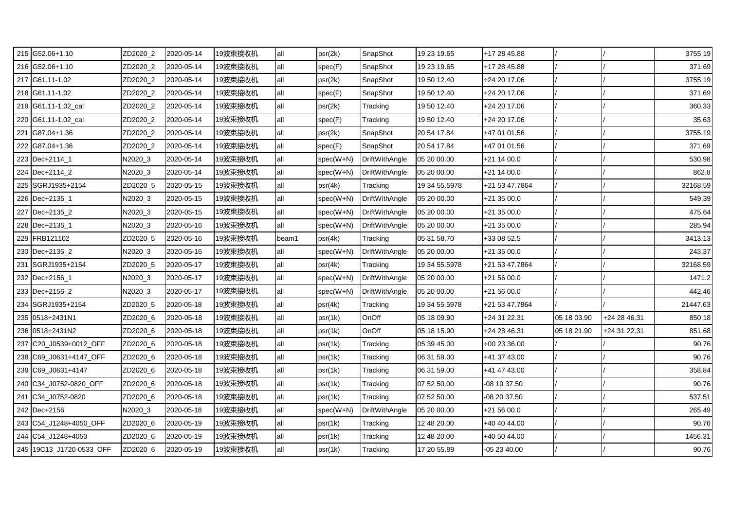| 215 G52.06+1.10          | ZD2020_2 | 2020-05-14 | 19波束接收机 | all   | psr(2k)     | SnapShot              | 19 23 19.65   | +17 28 45.88   |             |              | 3755.19  |
|--------------------------|----------|------------|---------|-------|-------------|-----------------------|---------------|----------------|-------------|--------------|----------|
| 216 G52.06+1.10          | ZD2020_2 | 2020-05-14 | 19波束接收机 | all   | spec(F)     | SnapShot              | 19 23 19.65   | +17 28 45.88   |             |              | 371.69   |
| 217 G61.11-1.02          | ZD2020_2 | 2020-05-14 | 19波束接收机 | all   | psr(2k)     | SnapShot              | 19 50 12.40   | +24 20 17.06   |             |              | 3755.19  |
| 218 G61.11-1.02          | ZD2020 2 | 2020-05-14 | 19波束接收机 | all   | spec(F)     | SnapShot              | 19 50 12.40   | +24 20 17.06   |             |              | 371.69   |
| 219 G61.11-1.02_cal      | ZD2020_2 | 2020-05-14 | 19波束接收机 | all   | psr(2k)     | Tracking              | 19 50 12.40   | +24 20 17.06   |             |              | 360.33   |
| 220 G61.11-1.02 cal      | ZD2020_2 | 2020-05-14 | 19波束接收机 | all   | spec(F)     | Tracking              | 19 50 12.40   | +24 20 17.06   |             |              | 35.63    |
| 221 G87.04+1.36          | ZD2020_2 | 2020-05-14 | 19波束接收机 | all   | psr(2k)     | SnapShot              | 20 54 17.84   | +47 01 01.56   |             |              | 3755.19  |
| 222 G87.04+1.36          | ZD2020_2 | 2020-05-14 | 19波束接收机 | all   | spec(F)     | SnapShot              | 20 54 17.84   | +47 01 01.56   |             |              | 371.69   |
| 223 Dec+2114_1           | N2020_3  | 2020-05-14 | 19波束接收机 | all   | spec(W+N)   | <b>DriftWithAngle</b> | 05 20 00.00   | +21 14 00.0    |             |              | 530.98   |
| 224 Dec+2114 2           | N2020_3  | 2020-05-14 | 19波束接收机 | all   | $spec(W+N)$ | DriftWithAngle        | 05 20 00.00   | +21 14 00.0    |             |              | 862.8    |
| 225 SGRJ1935+2154        | ZD2020_5 | 2020-05-15 | 19波束接收机 | all   | psr(4k)     | Tracking              | 19 34 55.5978 | +21 53 47.7864 |             |              | 32168.59 |
| 226 Dec+2135_1           | N2020_3  | 2020-05-15 | 19波束接收机 | all   | spec(W+N)   | <b>DriftWithAngle</b> | 05 20 00.00   | +21 35 00.0    |             |              | 549.39   |
| 227 Dec+2135_2           | N2020_3  | 2020-05-15 | 19波束接收机 | all   | spec(W+N)   | <b>DriftWithAngle</b> | 05 20 00.00   | +21 35 00.0    |             |              | 475.64   |
| 228 Dec+2135_1           | N2020_3  | 2020-05-16 | 19波束接收机 | all   | spec(W+N)   | DriftWithAngle        | 05 20 00.00   | +21 35 00.0    |             |              | 285.94   |
| 229 FRB121102            | ZD2020 5 | 2020-05-16 | 19波束接收机 | beam1 | psr(4k)     | Tracking              | 05 31 58.70   | +33 08 52.5    |             |              | 3413.13  |
| 230 Dec+2135_2           | N2020_3  | 2020-05-16 | 19波束接收机 | all   | spec(W+N)   | DriftWithAngle        | 05 20 00.00   | +21 35 00.0    |             |              | 243.37   |
| 231 SGRJ1935+2154        | ZD2020_5 | 2020-05-17 | 19波束接收机 | all   | psr(4k)     | Tracking              | 19 34 55.5978 | +21 53 47.7864 |             |              | 32168.59 |
| 232 Dec+2156_1           | N2020_3  | 2020-05-17 | 19波束接收机 | all   | $spec(W+N)$ | <b>DriftWithAngle</b> | 05 20 00.00   | +21 56 00.0    |             |              | 1471.2   |
| 233 Dec+2156 2           | N2020_3  | 2020-05-17 | 19波束接收机 | all   | spec(W+N)   | DriftWithAngle        | 05 20 00.00   | +21 56 00.0    |             |              | 442.46   |
| 234 SGRJ1935+2154        | ZD2020_5 | 2020-05-18 | 19波束接收机 | all   | psr(4k)     | Tracking              | 19 34 55.5978 | +21 53 47.7864 |             |              | 21447.63 |
| 235 0518+2431N1          | ZD2020_6 | 2020-05-18 | 19波束接收机 | all   | psr(1k)     | OnOff                 | 05 18 09.90   | +24 31 22.31   | 05 18 03.90 | +24 28 46.31 | 850.18   |
| 236 0518+2431N2          | ZD2020_6 | 2020-05-18 | 19波束接收机 | all   | psr(1k)     | OnOff                 | 05 18 15.90   | +24 28 46.31   | 05 18 21.90 | +24 31 22.31 | 851.68   |
| 237 C20 J0539+0012 OFF   | ZD2020_6 | 2020-05-18 | 19波束接收机 | all   | psr(1k)     | Tracking              | 05 39 45.00   | +00 23 36.00   |             |              | 90.76    |
| 238 C69_J0631+4147_OFF   | ZD2020_6 | 2020-05-18 | 19波束接收机 | all   | psr(1k)     | Tracking              | 06 31 59.00   | +41 37 43.00   |             |              | 90.76    |
| 239 C69 J0631+4147       | ZD2020 6 | 2020-05-18 | 19波束接收机 | all   | psr(1k)     | Tracking              | 06 31 59.00   | +41 47 43.00   |             |              | 358.84   |
| 240 C34_J0752-0820_OFF   | ZD2020_6 | 2020-05-18 | 19波束接收机 | all   | psr(1k)     | Tracking              | 07 52 50.00   | -08 10 37.50   |             |              | 90.76    |
| 241 C34_J0752-0820       | ZD2020_6 | 2020-05-18 | 19波束接收机 | all   | psr(1k)     | Tracking              | 07 52 50.00   | -08 20 37.50   |             |              | 537.51   |
| 242 Dec+2156             | N2020_3  | 2020-05-18 | 19波束接收机 | all   | spec(W+N)   | <b>DriftWithAngle</b> | 05 20 00.00   | +21 56 00.0    |             |              | 265.49   |
| 243 C54_J1248+4050_OFF   | ZD2020_6 | 2020-05-19 | 19波束接收机 | all   | psr(1k)     | Tracking              | 12 48 20.00   | +40 40 44.00   |             |              | 90.76    |
| 244 C54_J1248+4050       | ZD2020_6 | 2020-05-19 | 19波束接收机 | all   | psr(1k)     | Tracking              | 12 48 20.00   | +40 50 44.00   |             |              | 1456.31  |
| 245 19C13_J1720-0533_OFF | ZD2020_6 | 2020-05-19 | 19波束接收机 | all   | psr(1k)     | Tracking              | 17 20 55.89   | -05 23 40.00   |             |              | 90.76    |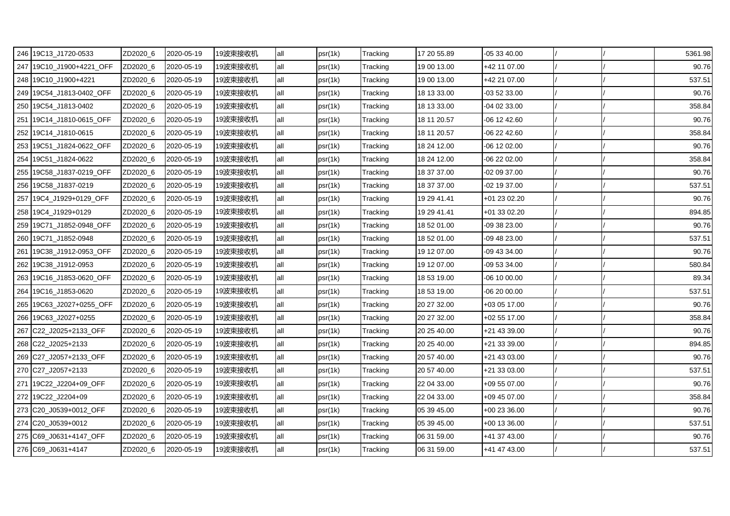| 246 19C13_J1720-0533     | ZD2020_6 | 2020-05-19 | 19波束接收机 | all | psr(1k) | Tracking | 17 20 55.89 | $-053340.00$ |  | 5361.98 |
|--------------------------|----------|------------|---------|-----|---------|----------|-------------|--------------|--|---------|
| 247 19C10_J1900+4221_OFF | ZD2020_6 | 2020-05-19 | 19波束接收机 | all | psr(1k) | Tracking | 19 00 13.00 | +42 11 07.00 |  | 90.76   |
| 248 19C10_J1900+4221     | ZD2020_6 | 2020-05-19 | 19波束接收机 | all | psr(1k) | Tracking | 19 00 13.00 | +42 21 07.00 |  | 537.51  |
| 249 19C54 J1813-0402 OFF | ZD2020_6 | 2020-05-19 | 19波束接收机 | all | psr(1k) | Tracking | 18 13 33.00 | -03 52 33.00 |  | 90.76   |
| 250 19C54_J1813-0402     | ZD2020_6 | 2020-05-19 | 19波束接收机 | all | psr(1k) | Tracking | 18 13 33.00 | -04 02 33.00 |  | 358.84  |
| 251 19C14_J1810-0615_OFF | ZD2020_6 | 2020-05-19 | 19波束接收机 | all | psr(1k) | Tracking | 18 11 20.57 | -06 12 42.60 |  | 90.76   |
| 252 19C14 J1810-0615     | ZD2020_6 | 2020-05-19 | 19波束接收机 | all | psr(1k) | Tracking | 18 11 20.57 | -06 22 42.60 |  | 358.84  |
| 253 19C51_J1824-0622_OFF | ZD2020_6 | 2020-05-19 | 19波束接收机 | all | psr(1k) | Tracking | 18 24 12.00 | -06 12 02.00 |  | 90.76   |
| 254 19C51_J1824-0622     | ZD2020_6 | 2020-05-19 | 19波束接收机 | all | psr(1k) | Tracking | 18 24 12.00 | -06 22 02.00 |  | 358.84  |
| 255 19C58_J1837-0219_OFF | ZD2020_6 | 2020-05-19 | 19波束接收机 | all | psr(1k) | Tracking | 18 37 37.00 | -02 09 37.00 |  | 90.76   |
| 256 19C58 J1837-0219     | ZD2020_6 | 2020-05-19 | 19波束接收机 | all | psr(1k) | Tracking | 18 37 37.00 | -02 19 37.00 |  | 537.51  |
| 257 19C4_J1929+0129_OFF  | ZD2020_6 | 2020-05-19 | 19波束接收机 | all | psr(1k) | Tracking | 19 29 41.41 | +01 23 02.20 |  | 90.76   |
| 258 19C4_J1929+0129      | ZD2020_6 | 2020-05-19 | 19波束接收机 | all | psr(1k) | Tracking | 19 29 41.41 | +01 33 02.20 |  | 894.85  |
| 259 19C71_J1852-0948_OFF | ZD2020_6 | 2020-05-19 | 19波束接收机 | all | psr(1k) | Tracking | 18 52 01.00 | -09 38 23.00 |  | 90.76   |
| 260 19C71_J1852-0948     | ZD2020_6 | 2020-05-19 | 19波束接收机 | all | psr(1k) | Tracking | 18 52 01.00 | 09 48 23.00  |  | 537.51  |
| 261 19C38_J1912-0953_OFF | ZD2020_6 | 2020-05-19 | 19波束接收机 | all | psr(1k) | Tracking | 19 12 07.00 | -09 43 34.00 |  | 90.76   |
| 262 19C38_J1912-0953     | ZD2020_6 | 2020-05-19 | 19波束接收机 | all | psr(1k) | Tracking | 19 12 07.00 | -09 53 34.00 |  | 580.84  |
| 263 19C16 J1853-0620 OFF | ZD2020_6 | 2020-05-19 | 19波束接收机 | all | psr(1k) | Tracking | 18 53 19.00 | -06 10 00.00 |  | 89.34   |
| 264 19C16_J1853-0620     | ZD2020_6 | 2020-05-19 | 19波束接收机 | all | psr(1k) | Tracking | 18 53 19.00 | -06 20 00.00 |  | 537.51  |
| 265 19C63_J2027+0255_OFF | ZD2020_6 | 2020-05-19 | 19波束接收机 | all | psr(1k) | Tracking | 20 27 32.00 | +03 05 17.00 |  | 90.76   |
| 266 19C63_J2027+0255     | ZD2020_6 | 2020-05-19 | 19波束接收机 | all | psr(1k) | Tracking | 20 27 32.00 | +02 55 17.00 |  | 358.84  |
| 267 C22_J2025+2133_OFF   | ZD2020_6 | 2020-05-19 | 19波束接收机 | all | psr(1k) | Tracking | 20 25 40.00 | +21 43 39.00 |  | 90.76   |
| 268 C22 J2025+2133       | ZD2020_6 | 2020-05-19 | 19波束接收机 | all | psr(1k) | Tracking | 20 25 40.00 | +21 33 39.00 |  | 894.85  |
| 269 C27_J2057+2133_OFF   | ZD2020_6 | 2020-05-19 | 19波束接收机 | all | psr(1k) | Tracking | 20 57 40.00 | +21 43 03.00 |  | 90.76   |
| 270 C27 J2057+2133       | ZD2020_6 | 2020-05-19 | 19波束接收机 | all | psr(1k) | Tracking | 20 57 40.00 | +21 33 03.00 |  | 537.51  |
| 271 19C22_J2204+09_OFF   | ZD2020_6 | 2020-05-19 | 19波束接收机 | all | psr(1k) | Tracking | 22 04 33.00 | +09 55 07.00 |  | 90.76   |
| 272 19C22_J2204+09       | ZD2020_6 | 2020-05-19 | 19波束接收机 | all | psr(1k) | Tracking | 22 04 33.00 | +09 45 07.00 |  | 358.84  |
| 273 C20_J0539+0012_OFF   | ZD2020_6 | 2020-05-19 | 19波束接收机 | all | psr(1k) | Tracking | 05 39 45.00 | +00 23 36.00 |  | 90.76   |
| 274 C20_J0539+0012       | ZD2020_6 | 2020-05-19 | 19波束接收机 | all | psr(1k) | Tracking | 05 39 45.00 | +00 13 36.00 |  | 537.51  |
| 275 C69_J0631+4147_OFF   | ZD2020_6 | 2020-05-19 | 19波束接收机 | all | psr(1k) | Tracking | 06 31 59.00 | +41 37 43.00 |  | 90.76   |
| 276 C69_J0631+4147       | ZD2020_6 | 2020-05-19 | 19波束接收机 | all | psr(1k) | Tracking | 06 31 59.00 | +41 47 43.00 |  | 537.51  |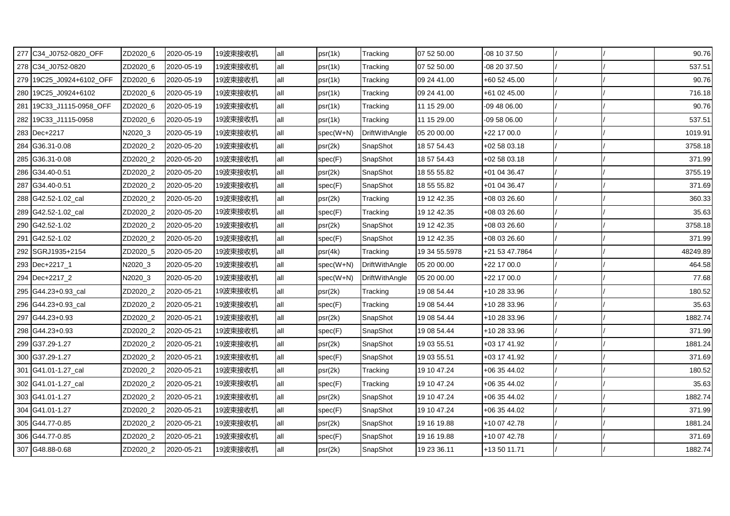| 277 C34_J0752-0820_OFF   | ZD2020 6 | 2020-05-19 | 19波束接收机 | all | psr(1k)     | Tracking              | 07 52 50.00   | -08 10 37.50   |  | 90.76    |
|--------------------------|----------|------------|---------|-----|-------------|-----------------------|---------------|----------------|--|----------|
| 278 C34 J0752-0820       | ZD2020 6 | 2020-05-19 | 19波束接收机 | all | psr(1k)     | Tracking              | 07 52 50.00   | -08 20 37.50   |  | 537.51   |
| 279 19C25_J0924+6102_OFF | ZD2020_6 | 2020-05-19 | 19波束接收机 | all | psr(1k)     | Tracking              | 09 24 41.00   | +60 52 45.00   |  | 90.76    |
| 280 19C25_J0924+6102     | ZD2020_6 | 2020-05-19 | 19波束接收机 | all | psr(1k)     | Tracking              | 09 24 41.00   | +61 02 45.00   |  | 716.18   |
| 281 19C33_J1115-0958_OFF | ZD2020_6 | 2020-05-19 | 19波束接收机 | all | psr(1k)     | Tracking              | 11 15 29.00   | -09 48 06.00   |  | 90.76    |
| 282 19C33_J1115-0958     | ZD2020_6 | 2020-05-19 | 19波束接收机 | all | psr(1k)     | Tracking              | 11 15 29.00   | -09 58 06.00   |  | 537.51   |
| 283 Dec+2217             | N2020_3  | 2020-05-19 | 19波束接收机 | all | $spec(W+N)$ | DriftWithAngle        | 05 20 00.00   | +22 17 00.0    |  | 1019.91  |
| 284 G36.31-0.08          | ZD2020_2 | 2020-05-20 | 19波束接收机 | all | psr(2k)     | SnapShot              | 18 57 54.43   | +02 58 03.18   |  | 3758.18  |
| 285 G36.31-0.08          | ZD2020_2 | 2020-05-20 | 19波束接收机 | all | spec(F)     | SnapShot              | 18 57 54.43   | +02 58 03.18   |  | 371.99   |
| 286 G34.40-0.51          | ZD2020_2 | 2020-05-20 | 19波束接收机 | all | psr(2k)     | SnapShot              | 18 55 55.82   | +01 04 36.47   |  | 3755.19  |
| 287 G34.40-0.51          | ZD2020_2 | 2020-05-20 | 19波束接收机 | all | spec(F)     | SnapShot              | 18 55 55.82   | +01 04 36.47   |  | 371.69   |
| 288 G42.52-1.02_cal      | ZD2020_2 | 2020-05-20 | 19波束接收机 | all | psr(2k)     | Tracking              | 19 12 42.35   | +08 03 26.60   |  | 360.33   |
| 289 G42.52-1.02 cal      | ZD2020_2 | 2020-05-20 | 19波束接收机 | all | spec(F)     | Tracking              | 19 12 42.35   | +08 03 26.60   |  | 35.63    |
| 290 G42.52-1.02          | ZD2020 2 | 2020-05-20 | 19波束接收机 | all | psr(2k)     | SnapShot              | 19 12 42.35   | +08 03 26.60   |  | 3758.18  |
| 291 G42.52-1.02          | ZD2020 2 | 2020-05-20 | 19波束接收机 | all | spec(F)     | SnapShot              | 19 12 42.35   | +08 03 26.60   |  | 371.99   |
| 292 SGRJ1935+2154        | ZD2020_5 | 2020-05-20 | 19波束接收机 | all | psr(4k)     | Tracking              | 19 34 55.5978 | +21 53 47.7864 |  | 48249.89 |
| 293 Dec+2217_1           | N2020_3  | 2020-05-20 | 19波束接收机 | all | $spec(W+N)$ | DriftWithAngle        | 05 20 00.00   | +22 17 00.0    |  | 464.58   |
| 294 Dec+2217_2           | N2020_3  | 2020-05-20 | 19波束接收机 | all | $spec(W+N)$ | <b>DriftWithAngle</b> | 05 20 00.00   | +22 17 00.0    |  | 77.68    |
| 295 G44.23+0.93_cal      | ZD2020_2 | 2020-05-21 | 19波束接收机 | all | psr(2k)     | Tracking              | 19 08 54.44   | +10 28 33.96   |  | 180.52   |
| 296 G44.23+0.93 cal      | ZD2020_2 | 2020-05-21 | 19波束接收机 | all | spec(F)     | Tracking              | 19 08 54.44   | +10 28 33.96   |  | 35.63    |
| 297 G44.23+0.93          | ZD2020 2 | 2020-05-21 | 19波束接收机 | all | psr(2k)     | SnapShot              | 19 08 54.44   | +10 28 33.96   |  | 1882.74  |
| 298 G44.23+0.93          | ZD2020_2 | 2020-05-21 | 19波束接收机 | all | spec(F)     | SnapShot              | 19 08 54.44   | +10 28 33.96   |  | 371.99   |
| 299 G37.29-1.27          | ZD2020_2 | 2020-05-21 | 19波束接收机 | all | psr(2k)     | SnapShot              | 19 03 55.51   | +03 17 41.92   |  | 1881.24  |
| 300 G37.29-1.27          | ZD2020_2 | 2020-05-21 | 19波束接收机 | all | spec(F)     | SnapShot              | 19 03 55.51   | +03 17 41.92   |  | 371.69   |
| 301 G41.01-1.27_cal      | ZD2020_2 | 2020-05-21 | 19波束接收机 | all | psr(2k)     | Tracking              | 19 10 47.24   | +06 35 44.02   |  | 180.52   |
| 302 G41.01-1.27_cal      | ZD2020_2 | 2020-05-21 | 19波束接收机 | all | spec(F)     | Tracking              | 19 10 47.24   | +06 35 44.02   |  | 35.63    |
| 303 G41.01-1.27          | ZD2020_2 | 2020-05-21 | 19波束接收机 | all | psr(2k)     | SnapShot              | 19 10 47.24   | +06 35 44.02   |  | 1882.74  |
| 304 G41.01-1.27          | ZD2020_2 | 2020-05-21 | 19波束接收机 | all | spec(F)     | SnapShot              | 19 10 47.24   | +06 35 44.02   |  | 371.99   |
| 305 G44.77-0.85          | ZD2020_2 | 2020-05-21 | 19波束接收机 | all | psr(2k)     | SnapShot              | 19 16 19.88   | +10 07 42.78   |  | 1881.24  |
| 306 G44.77-0.85          | ZD2020_2 | 2020-05-21 | 19波束接收机 | all | spec(F)     | SnapShot              | 19 16 19.88   | +10 07 42.78   |  | 371.69   |
| 307 G48.88-0.68          | ZD2020_2 | 2020-05-21 | 19波束接收机 | all | psr(2k)     | SnapShot              | 19 23 36.11   | +13 50 11.71   |  | 1882.74  |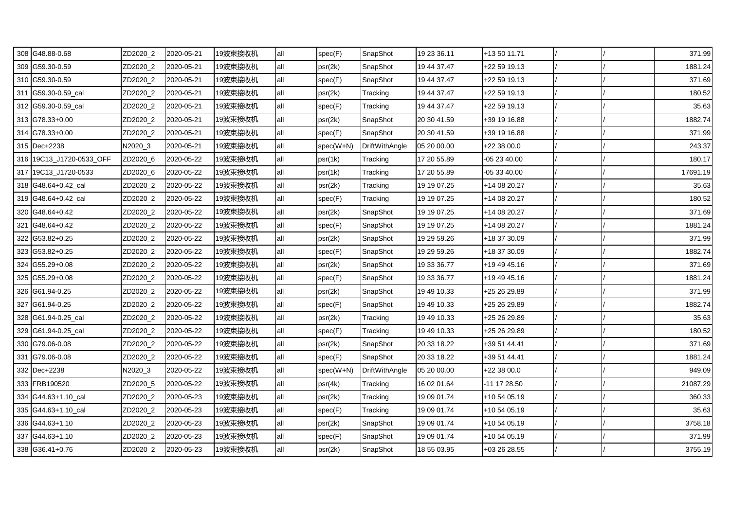| 308 G48.88-0.68          | ZD2020_2 | 2020-05-21 | 19波束接收机 | all | spec(F)   | SnapShot              | 19 23 36.11 | +13 50 11.71 |  | 371.99   |
|--------------------------|----------|------------|---------|-----|-----------|-----------------------|-------------|--------------|--|----------|
| 309 G59.30-0.59          | ZD2020_2 | 2020-05-21 | 19波束接收机 | all | psr(2k)   | SnapShot              | 19 44 37.47 | +22 59 19.13 |  | 1881.24  |
| 310 G59.30-0.59          | ZD2020_2 | 2020-05-21 | 19波束接收机 | all | spec(F)   | SnapShot              | 19 44 37.47 | +22 59 19.13 |  | 371.69   |
| 311 G59.30-0.59 cal      | ZD2020_2 | 2020-05-21 | 19波束接收机 | all | psr(2k)   | Tracking              | 19 44 37.47 | +22 59 19.13 |  | 180.52   |
| 312 G59.30-0.59_cal      | ZD2020_2 | 2020-05-21 | 19波束接收机 | all | spec(F)   | Tracking              | 19 44 37.47 | +22 59 19.13 |  | 35.63    |
| 313 G78.33+0.00          | ZD2020_2 | 2020-05-21 | 19波束接收机 | all | psr(2k)   | SnapShot              | 20 30 41.59 | +39 19 16.88 |  | 1882.74  |
| 314 G78.33+0.00          | ZD2020_2 | 2020-05-21 | 19波束接收机 | all | spec(F)   | SnapShot              | 20 30 41.59 | +39 19 16.88 |  | 371.99   |
| 315 Dec+2238             | N2020_3  | 2020-05-21 | 19波束接收机 | all | spec(W+N) | <b>DriftWithAngle</b> | 05 20 00.00 | +22 38 00.0  |  | 243.37   |
| 316 19C13_J1720-0533_OFF | ZD2020_6 | 2020-05-22 | 19波束接收机 | all | psr(1k)   | Tracking              | 17 20 55.89 | $-052340.00$ |  | 180.17   |
| 317 19C13 J1720-0533     | ZD2020_6 | 2020-05-22 | 19波束接收机 | all | psr(1k)   | Tracking              | 17 20 55.89 | $-053340.00$ |  | 17691.19 |
| 318 G48.64+0.42_cal      | ZD2020_2 | 2020-05-22 | 19波束接收机 | all | psr(2k)   | Tracking              | 19 19 07.25 | +14 08 20.27 |  | 35.63    |
| 319 G48.64+0.42_cal      | ZD2020_2 | 2020-05-22 | 19波束接收机 | all | spec(F)   | Tracking              | 19 19 07.25 | +14 08 20.27 |  | 180.52   |
| 320 G48.64+0.42          | ZD2020_2 | 2020-05-22 | 19波束接收机 | all | psr(2k)   | SnapShot              | 19 19 07.25 | +14 08 20.27 |  | 371.69   |
| 321 G48.64+0.42          | ZD2020_2 | 2020-05-22 | 19波束接收机 | all | spec(F)   | SnapShot              | 19 19 07.25 | +14 08 20.27 |  | 1881.24  |
| 322 G53.82+0.25          | ZD2020_2 | 2020-05-22 | 19波束接收机 | all | psr(2k)   | SnapShot              | 19 29 59.26 | +18 37 30.09 |  | 371.99   |
| 323 G53.82+0.25          | ZD2020_2 | 2020-05-22 | 19波束接收机 | all | spec(F)   | SnapShot              | 19 29 59.26 | +18 37 30.09 |  | 1882.74  |
| 324 G55.29+0.08          | ZD2020_2 | 2020-05-22 | 19波束接收机 | all | psr(2k)   | SnapShot              | 19 33 36.77 | +19 49 45.16 |  | 371.69   |
| 325 G55.29+0.08          | ZD2020_2 | 2020-05-22 | 19波束接收机 | all | spec(F)   | SnapShot              | 19 33 36.77 | +19 49 45.16 |  | 1881.24  |
| 326 G61.94-0.25          | ZD2020_2 | 2020-05-22 | 19波束接收机 | all | psr(2k)   | SnapShot              | 19 49 10.33 | +25 26 29.89 |  | 371.99   |
| 327 G61.94-0.25          | ZD2020_2 | 2020-05-22 | 19波束接收机 | all | spec(F)   | SnapShot              | 19 49 10.33 | +25 26 29.89 |  | 1882.74  |
| 328 G61.94-0.25_cal      | ZD2020_2 | 2020-05-22 | 19波束接收机 | all | psr(2k)   | Tracking              | 19 49 10.33 | +25 26 29.89 |  | 35.63    |
| 329 G61.94-0.25_cal      | ZD2020_2 | 2020-05-22 | 19波束接收机 | all | spec(F)   | Tracking              | 19 49 10.33 | +25 26 29.89 |  | 180.52   |
| 330 G79.06-0.08          | ZD2020_2 | 2020-05-22 | 19波束接收机 | all | psr(2k)   | SnapShot              | 20 33 18.22 | +39 51 44.41 |  | 371.69   |
| 331 G79.06-0.08          | ZD2020_2 | 2020-05-22 | 19波束接收机 | all | spec(F)   | SnapShot              | 20 33 18.22 | +39 51 44.41 |  | 1881.24  |
| 332 Dec+2238             | N2020 3  | 2020-05-22 | 19波束接收机 | all | spec(W+N) | <b>DriftWithAngle</b> | 05 20 00.00 | $+223800.0$  |  | 949.09   |
| 333 FRB190520            | ZD2020_5 | 2020-05-22 | 19波束接收机 | all | psr(4k)   | Tracking              | 16 02 01.64 | -11 17 28.50 |  | 21087.29 |
| 334 G44.63+1.10_cal      | ZD2020_2 | 2020-05-23 | 19波束接收机 | all | psr(2k)   | Tracking              | 19 09 01.74 | +10 54 05.19 |  | 360.33   |
| 335 G44.63+1.10_cal      | ZD2020_2 | 2020-05-23 | 19波束接收机 | all | spec(F)   | Tracking              | 19 09 01.74 | +10 54 05.19 |  | 35.63    |
| 336 G44.63+1.10          | ZD2020_2 | 2020-05-23 | 19波束接收机 | all | psr(2k)   | SnapShot              | 19 09 01.74 | +10 54 05.19 |  | 3758.18  |
| 337 G44.63+1.10          | ZD2020_2 | 2020-05-23 | 19波束接收机 | all | spec(F)   | SnapShot              | 19 09 01.74 | +10 54 05.19 |  | 371.99   |
| 338 G36.41+0.76          | ZD2020_2 | 2020-05-23 | 19波束接收机 | all | psr(2k)   | SnapShot              | 18 55 03.95 | +03 26 28.55 |  | 3755.19  |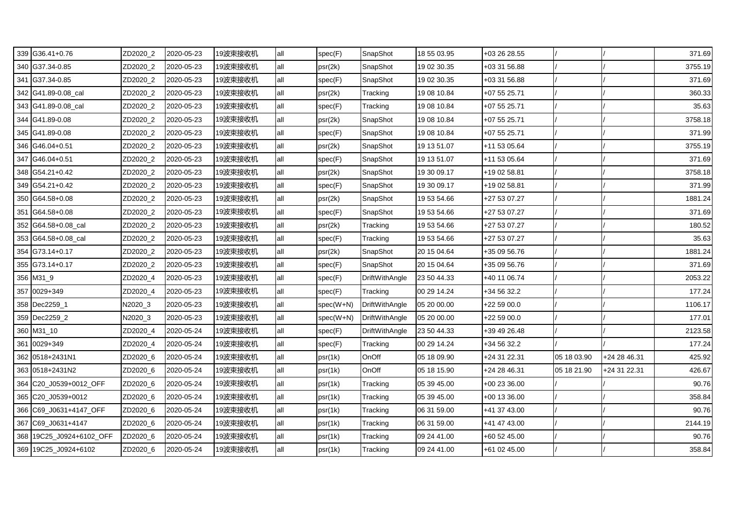| 339 G36.41+0.76          | ZD2020_2 | 2020-05-23 | 19波束接收机 | all | spec(F)   | SnapShot              | 18 55 03.95 | +03 26 28.55 |             |              | 371.69  |
|--------------------------|----------|------------|---------|-----|-----------|-----------------------|-------------|--------------|-------------|--------------|---------|
| 340 G37.34-0.85          | ZD2020_2 | 2020-05-23 | 19波束接收机 | all | psr(2k)   | SnapShot              | 19 02 30.35 | +03 31 56.88 |             |              | 3755.19 |
| 341 G37.34-0.85          | ZD2020_2 | 2020-05-23 | 19波束接收机 | all | spec(F)   | SnapShot              | 19 02 30.35 | +03 31 56.88 |             |              | 371.69  |
| 342 G41.89-0.08_cal      | ZD2020_2 | 2020-05-23 | 19波束接收机 | all | psr(2k)   | Tracking              | 19 08 10.84 | +07 55 25.71 |             |              | 360.33  |
| 343 G41.89-0.08_cal      | ZD2020_2 | 2020-05-23 | 19波束接收机 | all | spec(F)   | Tracking              | 19 08 10.84 | +07 55 25.71 |             |              | 35.63   |
| 344 G41.89-0.08          | ZD2020_2 | 2020-05-23 | 19波束接收机 | all | psr(2k)   | SnapShot              | 19 08 10.84 | +07 55 25.71 |             |              | 3758.18 |
| 345 G41.89-0.08          | ZD2020_2 | 2020-05-23 | 19波束接收机 | all | spec(F)   | SnapShot              | 19 08 10.84 | +07 55 25.71 |             |              | 371.99  |
| 346 G46.04+0.51          | ZD2020_2 | 2020-05-23 | 19波束接收机 | all | psr(2k)   | SnapShot              | 19 13 51.07 | +11 53 05.64 |             |              | 3755.19 |
| 347 G46.04+0.51          | ZD2020 2 | 2020-05-23 | 19波束接收机 | all | spec(F)   | SnapShot              | 19 13 51.07 | +11 53 05.64 |             |              | 371.69  |
| 348 G54.21+0.42          | ZD2020_2 | 2020-05-23 | 19波束接收机 | all | psr(2k)   | SnapShot              | 19 30 09.17 | +19 02 58.81 |             |              | 3758.18 |
| 349 G54.21+0.42          | ZD2020_2 | 2020-05-23 | 19波束接收机 | all | spec(F)   | SnapShot              | 19 30 09.17 | +19 02 58.81 |             |              | 371.99  |
| 350 G64.58+0.08          | ZD2020_2 | 2020-05-23 | 19波束接收机 | all | psr(2k)   | SnapShot              | 19 53 54.66 | +27 53 07.27 |             |              | 1881.24 |
| 351 G64.58+0.08          | ZD2020_2 | 2020-05-23 | 19波束接收机 | all | spec(F)   | SnapShot              | 19 53 54.66 | +27 53 07.27 |             |              | 371.69  |
| 352 G64.58+0.08_cal      | ZD2020_2 | 2020-05-23 | 19波束接收机 | all | psr(2k)   | Tracking              | 19 53 54.66 | +27 53 07.27 |             |              | 180.52  |
| 353 G64.58+0.08_cal      | ZD2020_2 | 2020-05-23 | 19波束接收机 | all | spec(F)   | Tracking              | 19 53 54.66 | +27 53 07.27 |             |              | 35.63   |
| 354 G73.14+0.17          | ZD2020_2 | 2020-05-23 | 19波束接收机 | all | psr(2k)   | SnapShot              | 20 15 04.64 | +35 09 56.76 |             |              | 1881.24 |
| 355 G73.14+0.17          | ZD2020_2 | 2020-05-23 | 19波束接收机 | all | spec(F)   | SnapShot              | 20 15 04.64 | +35 09 56.76 |             |              | 371.69  |
| 356 M31_9                | ZD2020_4 | 2020-05-23 | 19波束接收机 | all | spec(F)   | DriftWithAngle        | 23 50 44.33 | +40 11 06.74 |             |              | 2053.22 |
| 357 0029+349             | ZD2020_4 | 2020-05-23 | 19波束接收机 | all | spec(F)   | Tracking              | 00 29 14.24 | +34 56 32.2  |             |              | 177.24  |
| 358 Dec2259_1            | N2020_3  | 2020-05-23 | 19波束接收机 | all | spec(W+N) | <b>DriftWithAngle</b> | 05 20 00.00 | +22 59 00.0  |             |              | 1106.17 |
| 359 Dec2259_2            | N2020_3  | 2020-05-23 | 19波束接收机 | all | spec(W+N) | DriftWithAngle        | 05 20 00.00 | $+225900.0$  |             |              | 177.01  |
| 360 M31_10               | ZD2020_4 | 2020-05-24 | 19波束接收机 | all | spec(F)   | DriftWithAngle        | 23 50 44.33 | +39 49 26.48 |             |              | 2123.58 |
| 361 0029+349             | ZD2020_4 | 2020-05-24 | 19波束接收机 | all | spec(F)   | Tracking              | 00 29 14.24 | +34 56 32.2  |             |              | 177.24  |
| 362 0518+2431N1          | ZD2020_6 | 2020-05-24 | 19波束接收机 | all | psr(1k)   | OnOff                 | 05 18 09.90 | +24 31 22.31 | 05 18 03.90 | +24 28 46.31 | 425.92  |
| 363 0518+2431N2          | ZD2020_6 | 2020-05-24 | 19波束接收机 | all | psr(1k)   | OnOff                 | 05 18 15.90 | +24 28 46.31 | 05 18 21.90 | +24 31 22.31 | 426.67  |
| 364 C20_J0539+0012_OFF   | ZD2020_6 | 2020-05-24 | 19波束接收机 | all | psr(1k)   | Tracking              | 05 39 45.00 | +00 23 36.00 |             |              | 90.76   |
| 365 C20_J0539+0012       | ZD2020_6 | 2020-05-24 | 19波束接收机 | all | psr(1k)   | Tracking              | 05 39 45.00 | +00 13 36.00 |             |              | 358.84  |
| 366 C69_J0631+4147_OFF   | ZD2020_6 | 2020-05-24 | 19波束接收机 | all | psr(1k)   | Tracking              | 06 31 59.00 | +41 37 43.00 |             |              | 90.76   |
| 367 C69_J0631+4147       | ZD2020_6 | 2020-05-24 | 19波束接收机 | all | psr(1k)   | Tracking              | 06 31 59.00 | +41 47 43.00 |             |              | 2144.19 |
| 368 19C25_J0924+6102_OFF | ZD2020_6 | 2020-05-24 | 19波束接收机 | all | psr(1k)   | Tracking              | 09 24 41.00 | +60 52 45.00 |             |              | 90.76   |
| 369 19C25_J0924+6102     | ZD2020_6 | 2020-05-24 | 19波束接收机 | all | psr(1k)   | Tracking              | 09 24 41.00 | +61 02 45.00 |             |              | 358.84  |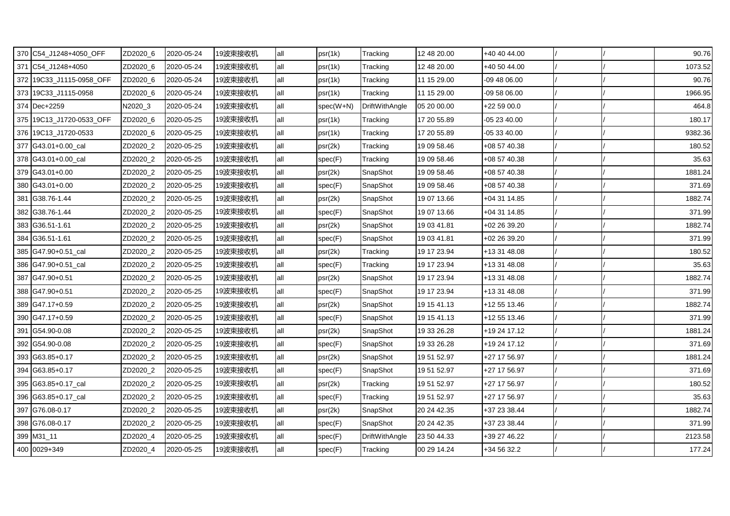| 370 C54_J1248+4050_OFF   | ZD2020 6 | 2020-05-24 | 19波束接收机 | all | psr(1k)   | Tracking              | 12 48 20.00 | +40 40 44.00 |  | 90.76   |
|--------------------------|----------|------------|---------|-----|-----------|-----------------------|-------------|--------------|--|---------|
| 371 C54 J1248+4050       | ZD2020 6 | 2020-05-24 | 19波束接收机 | all | psr(1k)   | Tracking              | 12 48 20.00 | +40 50 44.00 |  | 1073.52 |
| 372 19C33_J1115-0958_OFF | ZD2020_6 | 2020-05-24 | 19波束接收机 | all | psr(1k)   | Tracking              | 11 15 29.00 | -09 48 06.00 |  | 90.76   |
| 373 19C33_J1115-0958     | ZD2020_6 | 2020-05-24 | 19波束接收机 | all | psr(1k)   | Tracking              | 11 15 29.00 | -09 58 06.00 |  | 1966.95 |
| 374 Dec+2259             | N2020_3  | 2020-05-24 | 19波束接收机 | all | spec(W+N) | DriftWithAngle        | 05 20 00.00 | +22 59 00.0  |  | 464.8   |
| 375 19C13_J1720-0533_OFF | ZD2020_6 | 2020-05-25 | 19波束接收机 | all | psr(1k)   | Tracking              | 17 20 55.89 | 05 23 40.00  |  | 180.17  |
| 376 19C13 J1720-0533     | ZD2020_6 | 2020-05-25 | 19波束接收机 | all | psr(1k)   | Tracking              | 17 20 55.89 | 05 33 40.00  |  | 9382.36 |
| 377 G43.01+0.00 cal      | ZD2020_2 | 2020-05-25 | 19波束接收机 | all | psr(2k)   | Tracking              | 19 09 58.46 | +08 57 40.38 |  | 180.52  |
| 378 G43.01+0.00 cal      | ZD2020_2 | 2020-05-25 | 19波束接收机 | all | spec(F)   | Tracking              | 19 09 58.46 | +08 57 40.38 |  | 35.63   |
| 379 G43.01+0.00          | ZD2020_2 | 2020-05-25 | 19波束接收机 | all | psr(2k)   | SnapShot              | 19 09 58.46 | +08 57 40.38 |  | 1881.24 |
| 380 G43.01+0.00          | ZD2020_2 | 2020-05-25 | 19波束接收机 | all | spec(F)   | SnapShot              | 19 09 58.46 | +08 57 40.38 |  | 371.69  |
| 381 G38.76-1.44          | ZD2020_2 | 2020-05-25 | 19波束接收机 | all | psr(2k)   | SnapShot              | 19 07 13.66 | +04 31 14.85 |  | 1882.74 |
| 382 G38.76-1.44          | ZD2020_2 | 2020-05-25 | 19波束接收机 | all | spec(F)   | SnapShot              | 19 07 13.66 | +04 31 14.85 |  | 371.99  |
| 383 G36.51-1.61          | ZD2020 2 | 2020-05-25 | 19波束接收机 | all | psr(2k)   | SnapShot              | 19 03 41.81 | +02 26 39.20 |  | 1882.74 |
| 384 G36.51-1.61          | ZD2020 2 | 2020-05-25 | 19波束接收机 | all | spec(F)   | SnapShot              | 19 03 41.81 | +02 26 39.20 |  | 371.99  |
| 385 G47.90+0.51_cal      | ZD2020_2 | 2020-05-25 | 19波束接收机 | all | psr(2k)   | Tracking              | 19 17 23.94 | +13 31 48.08 |  | 180.52  |
| 386 G47.90+0.51_cal      | ZD2020_2 | 2020-05-25 | 19波束接收机 | all | spec(F)   | Tracking              | 19 17 23.94 | +13 31 48.08 |  | 35.63   |
| 387 G47.90+0.51          | ZD2020_2 | 2020-05-25 | 19波束接收机 | all | psr(2k)   | SnapShot              | 19 17 23.94 | +13 31 48.08 |  | 1882.74 |
| 388 G47.90+0.51          | ZD2020_2 | 2020-05-25 | 19波束接收机 | all | spec(F)   | SnapShot              | 19 17 23.94 | +13 31 48.08 |  | 371.99  |
| 389 G47.17+0.59          | ZD2020_2 | 2020-05-25 | 19波束接收机 | all | psr(2k)   | SnapShot              | 19 15 41.13 | +12 55 13.46 |  | 1882.74 |
| 390 G47.17+0.59          | ZD2020 2 | 2020-05-25 | 19波束接收机 | all | spec(F)   | SnapShot              | 19 15 41.13 | +12 55 13.46 |  | 371.99  |
| 391 G54.90-0.08          | ZD2020_2 | 2020-05-25 | 19波束接收机 | all | psr(2k)   | SnapShot              | 19 33 26.28 | +19 24 17.12 |  | 1881.24 |
| 392 G54.90-0.08          | ZD2020_2 | 2020-05-25 | 19波束接收机 | all | spec(F)   | SnapShot              | 19 33 26.28 | +19 24 17.12 |  | 371.69  |
| 393 G63.85+0.17          | ZD2020_2 | 2020-05-25 | 19波束接收机 | all | psr(2k)   | SnapShot              | 19 51 52.97 | +27 17 56.97 |  | 1881.24 |
| 394 G63.85+0.17          | ZD2020_2 | 2020-05-25 | 19波束接收机 | all | spec(F)   | SnapShot              | 19 51 52.97 | +27 17 56.97 |  | 371.69  |
| 395 G63.85+0.17_cal      | ZD2020_2 | 2020-05-25 | 19波束接收机 | all | psr(2k)   | Tracking              | 19 51 52.97 | +27 17 56.97 |  | 180.52  |
| 396 G63.85+0.17_cal      | ZD2020_2 | 2020-05-25 | 19波束接收机 | all | spec(F)   | Tracking              | 19 51 52.97 | +27 17 56.97 |  | 35.63   |
| 397 G76.08-0.17          | ZD2020 2 | 2020-05-25 | 19波束接收机 | all | psr(2k)   | SnapShot              | 20 24 42.35 | +37 23 38.44 |  | 1882.74 |
| 398 G76.08-0.17          | ZD2020_2 | 2020-05-25 | 19波束接收机 | all | spec(F)   | SnapShot              | 20 24 42.35 | +37 23 38.44 |  | 371.99  |
| 399 M31_11               | ZD2020_4 | 2020-05-25 | 19波束接收机 | all | spec(F)   | <b>DriftWithAngle</b> | 23 50 44.33 | +39 27 46.22 |  | 2123.58 |
| 400 0029+349             | ZD2020_4 | 2020-05-25 | 19波束接收机 | all | spec(F)   | Tracking              | 00 29 14.24 | +34 56 32.2  |  | 177.24  |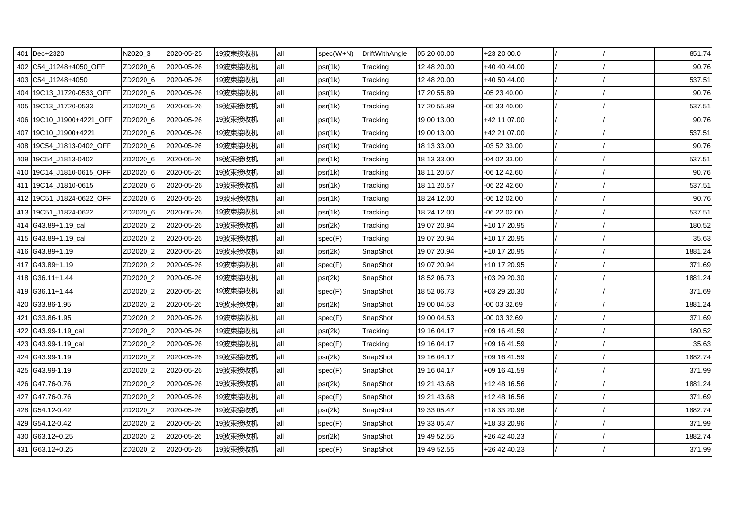| 401 Dec+2320             | N2020_3  | 2020-05-25 | 19波束接收机 | all | spec(W+N) | DriftWithAngle | 05 20 00.00 | +23 20 00.0    |  | 851.74  |
|--------------------------|----------|------------|---------|-----|-----------|----------------|-------------|----------------|--|---------|
| 402 C54_J1248+4050_OFF   | ZD2020_6 | 2020-05-26 | 19波束接收机 | all | psr(1k)   | Tracking       | 12 48 20.00 | +40 40 44.00   |  | 90.76   |
| 403 C54_J1248+4050       | ZD2020_6 | 2020-05-26 | 19波束接收机 | all | psr(1k)   | Tracking       | 12 48 20.00 | +40 50 44.00   |  | 537.51  |
| 404 19C13_J1720-0533_OFF | ZD2020_6 | 2020-05-26 | 19波束接收机 | all | psr(1k)   | Tracking       | 17 20 55.89 | $-052340.00$   |  | 90.76   |
| 405 19C13_J1720-0533     | ZD2020_6 | 2020-05-26 | 19波束接收机 | all | psr(1k)   | Tracking       | 17 20 55.89 | -05 33 40.00   |  | 537.51  |
| 406 19C10_J1900+4221_OFF | ZD2020_6 | 2020-05-26 | 19波束接收机 | all | psr(1k)   | Tracking       | 19 00 13.00 | +42 11 07.00   |  | 90.76   |
| 407 19C10 J1900+4221     | ZD2020_6 | 2020-05-26 | 19波束接收机 | all | psr(1k)   | Tracking       | 19 00 13.00 | +42 21 07.00   |  | 537.51  |
| 408 19C54_J1813-0402_OFF | ZD2020_6 | 2020-05-26 | 19波束接收机 | all | psr(1k)   | Tracking       | 18 13 33.00 | -03 52 33.00   |  | 90.76   |
| 409 19C54_J1813-0402     | ZD2020_6 | 2020-05-26 | 19波束接收机 | all | psr(1k)   | Tracking       | 18 13 33.00 | -04 02 33.00   |  | 537.51  |
| 410 19C14_J1810-0615_OFF | ZD2020_6 | 2020-05-26 | 19波束接收机 | all | psr(1k)   | Tracking       | 18 11 20.57 | $-06$ 12 42.60 |  | 90.76   |
| 411 19C14_J1810-0615     | ZD2020_6 | 2020-05-26 | 19波束接收机 | all | psr(1k)   | Tracking       | 18 11 20.57 | $-062242.60$   |  | 537.51  |
| 412 19C51 J1824-0622 OFF | ZD2020_6 | 2020-05-26 | 19波束接收机 | all | psr(1k)   | Tracking       | 18 24 12.00 | -06 12 02.00   |  | 90.76   |
| 413 19C51 J1824-0622     | ZD2020 6 | 2020-05-26 | 19波束接收机 | all | psr(1k)   | Tracking       | 18 24 12.00 | -06 22 02.00   |  | 537.51  |
| 414 G43.89+1.19_cal      | ZD2020_2 | 2020-05-26 | 19波束接收机 | all | psr(2k)   | Tracking       | 19 07 20.94 | +10 17 20.95   |  | 180.52  |
| 415 G43.89+1.19 cal      | ZD2020_2 | 2020-05-26 | 19波束接收机 | all | spec(F)   | Tracking       | 19 07 20.94 | +10 17 20.95   |  | 35.63   |
| 416 G43.89+1.19          | ZD2020_2 | 2020-05-26 | 19波束接收机 | all | psr(2k)   | SnapShot       | 19 07 20.94 | +10 17 20.95   |  | 1881.24 |
| 417 G43.89+1.19          | ZD2020_2 | 2020-05-26 | 19波束接收机 | all | spec(F)   | SnapShot       | 19 07 20.94 | +10 17 20.95   |  | 371.69  |
| 418 G36.11+1.44          | ZD2020 2 | 2020-05-26 | 19波束接收机 | all | psr(2k)   | SnapShot       | 18 52 06.73 | +03 29 20.30   |  | 1881.24 |
| 419 G36.11+1.44          | ZD2020_2 | 2020-05-26 | 19波束接收机 | all | spec(F)   | SnapShot       | 18 52 06.73 | +03 29 20.30   |  | 371.69  |
| 420 G33.86-1.95          | ZD2020_2 | 2020-05-26 | 19波束接收机 | all | psr(2k)   | SnapShot       | 19 00 04.53 | -00 03 32.69   |  | 1881.24 |
| 421 G33.86-1.95          | ZD2020_2 | 2020-05-26 | 19波束接收机 | all | spec(F)   | SnapShot       | 19 00 04.53 | -00 03 32.69   |  | 371.69  |
| 422 G43.99-1.19_cal      | ZD2020_2 | 2020-05-26 | 19波束接收机 | all | psr(2k)   | Tracking       | 19 16 04.17 | +09 16 41.59   |  | 180.52  |
| 423 G43.99-1.19 cal      | ZD2020 2 | 2020-05-26 | 19波束接收机 | all | spec(F)   | Tracking       | 19 16 04.17 | +09 16 41.59   |  | 35.63   |
| 424 G43.99-1.19          | ZD2020_2 | 2020-05-26 | 19波束接收机 | all | psr(2k)   | SnapShot       | 19 16 04.17 | +09 16 41.59   |  | 1882.74 |
| 425 G43.99-1.19          | ZD2020_2 | 2020-05-26 | 19波束接收机 | all | spec(F)   | SnapShot       | 19 16 04.17 | +09 16 41.59   |  | 371.99  |
| 426 G47.76-0.76          | ZD2020 2 | 2020-05-26 | 19波束接收机 | all | psr(2k)   | SnapShot       | 19 21 43.68 | +12 48 16.56   |  | 1881.24 |
| 427 G47.76-0.76          | ZD2020_2 | 2020-05-26 | 19波束接收机 | all | spec(F)   | SnapShot       | 19 21 43.68 | +12 48 16.56   |  | 371.69  |
| 428 G54.12-0.42          | ZD2020_2 | 2020-05-26 | 19波束接收机 | all | psr(2k)   | SnapShot       | 19 33 05.47 | +18 33 20.96   |  | 1882.74 |
| 429 G54.12-0.42          | ZD2020_2 | 2020-05-26 | 19波束接收机 | all | spec(F)   | SnapShot       | 19 33 05.47 | +18 33 20.96   |  | 371.99  |
| 430 G63.12+0.25          | ZD2020_2 | 2020-05-26 | 19波束接收机 | all | psr(2k)   | SnapShot       | 19 49 52.55 | +26 42 40.23   |  | 1882.74 |
| 431 G63.12+0.25          | ZD2020_2 | 2020-05-26 | 19波束接收机 | all | spec(F)   | SnapShot       | 19 49 52.55 | +26 42 40.23   |  | 371.99  |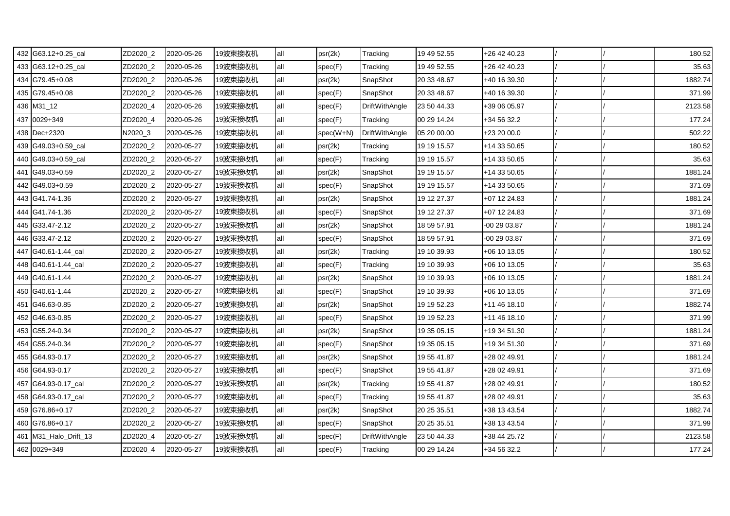| 432 G63.12+0.25_cal   | ZD2020_2 | 2020-05-26 | 19波束接收机 | all | psr(2k)   | Tracking              | 19 49 52.55 | $+26$ 42 40.23 |  | 180.52  |
|-----------------------|----------|------------|---------|-----|-----------|-----------------------|-------------|----------------|--|---------|
| 433 G63.12+0.25_cal   | ZD2020_2 | 2020-05-26 | 19波束接收机 | all | spec(F)   | Tracking              | 19 49 52.55 | +26 42 40.23   |  | 35.63   |
| 434 G79.45+0.08       | ZD2020_2 | 2020-05-26 | 19波束接收机 | all | psr(2k)   | SnapShot              | 20 33 48.67 | +40 16 39.30   |  | 1882.74 |
| 435 G79.45+0.08       | ZD2020_2 | 2020-05-26 | 19波束接收机 | all | spec(F)   | SnapShot              | 20 33 48.67 | +40 16 39.30   |  | 371.99  |
| 436 M31_12            | ZD2020_4 | 2020-05-26 | 19波束接收机 | all | spec(F)   | DriftWithAngle        | 23 50 44.33 | +39 06 05.97   |  | 2123.58 |
| 437 0029+349          | ZD2020_4 | 2020-05-26 | 19波束接收机 | all | spec(F)   | Tracking              | 00 29 14.24 | +34 56 32.2    |  | 177.24  |
| 438 Dec+2320          | N2020_3  | 2020-05-26 | 19波束接收机 | all | spec(W+N) | DriftWithAngle        | 05 20 00.00 | +23 20 00.0    |  | 502.22  |
| 439 G49.03+0.59 cal   | ZD2020_2 | 2020-05-27 | 19波束接收机 | all | psr(2k)   | Tracking              | 19 19 15.57 | +14 33 50.65   |  | 180.52  |
| 440 G49.03+0.59_cal   | ZD2020_2 | 2020-05-27 | 19波束接收机 | all | spec(F)   | Tracking              | 19 19 15.57 | +14 33 50.65   |  | 35.63   |
| 441 G49.03+0.59       | ZD2020_2 | 2020-05-27 | 19波束接收机 | all | psr(2k)   | SnapShot              | 19 19 15.57 | +14 33 50.65   |  | 1881.24 |
| 442 G49.03+0.59       | ZD2020_2 | 2020-05-27 | 19波束接收机 | all | spec(F)   | SnapShot              | 19 19 15.57 | +14 33 50.65   |  | 371.69  |
| 443 G41.74-1.36       | ZD2020_2 | 2020-05-27 | 19波束接收机 | all | psr(2k)   | SnapShot              | 19 12 27.37 | +07 12 24.83   |  | 1881.24 |
| 444 G41.74-1.36       | ZD2020_2 | 2020-05-27 | 19波束接收机 | all | spec(F)   | SnapShot              | 19 12 27.37 | +07 12 24.83   |  | 371.69  |
| 445 G33.47-2.12       | ZD2020 2 | 2020-05-27 | 19波束接收机 | all | psr(2k)   | SnapShot              | 18 59 57.91 | -00 29 03.87   |  | 1881.24 |
| 446 G33.47-2.12       | ZD2020 2 | 2020-05-27 | 19波束接收机 | all | spec(F)   | SnapShot              | 18 59 57.91 | -00 29 03.87   |  | 371.69  |
| 447 G40.61-1.44_cal   | ZD2020_2 | 2020-05-27 | 19波束接收机 | all | psr(2k)   | Tracking              | 19 10 39.93 | +06 10 13.05   |  | 180.52  |
| 448 G40.61-1.44_cal   | ZD2020_2 | 2020-05-27 | 19波束接收机 | all | spec(F)   | Tracking              | 19 10 39.93 | +06 10 13.05   |  | 35.63   |
| 449 G40.61-1.44       | ZD2020_2 | 2020-05-27 | 19波束接收机 | all | psr(2k)   | SnapShot              | 19 10 39.93 | +06 10 13.05   |  | 1881.24 |
| 450 G40.61-1.44       | ZD2020_2 | 2020-05-27 | 19波束接收机 | all | spec(F)   | SnapShot              | 19 10 39.93 | +06 10 13.05   |  | 371.69  |
| 451 G46.63-0.85       | ZD2020_2 | 2020-05-27 | 19波束接收机 | all | psr(2k)   | SnapShot              | 19 19 52.23 | +11 46 18.10   |  | 1882.74 |
| 452 G46.63-0.85       | ZD2020 2 | 2020-05-27 | 19波束接收机 | all | spec(F)   | SnapShot              | 19 19 52.23 | +11 46 18.10   |  | 371.99  |
| 453 G55.24-0.34       | ZD2020_2 | 2020-05-27 | 19波束接收机 | all | psr(2k)   | SnapShot              | 19 35 05.15 | +19 34 51.30   |  | 1881.24 |
| 454 G55.24-0.34       | ZD2020_2 | 2020-05-27 | 19波束接收机 | all | spec(F)   | SnapShot              | 19 35 05.15 | +19 34 51.30   |  | 371.69  |
| 455 G64.93-0.17       | ZD2020_2 | 2020-05-27 | 19波束接收机 | all | psr(2k)   | SnapShot              | 19 55 41.87 | +28 02 49.91   |  | 1881.24 |
| 456 G64.93-0.17       | ZD2020_2 | 2020-05-27 | 19波束接收机 | all | spec(F)   | SnapShot              | 19 55 41.87 | +28 02 49.91   |  | 371.69  |
| 457 G64.93-0.17 cal   | ZD2020_2 | 2020-05-27 | 19波束接收机 | all | psr(2k)   | Tracking              | 19 55 41.87 | +28 02 49.91   |  | 180.52  |
| 458 G64.93-0.17_cal   | ZD2020_2 | 2020-05-27 | 19波束接收机 | all | spec(F)   | Tracking              | 19 55 41.87 | +28 02 49.91   |  | 35.63   |
| 459 G76.86+0.17       | ZD2020_2 | 2020-05-27 | 19波束接收机 | all | psr(2k)   | SnapShot              | 20 25 35.51 | +38 13 43.54   |  | 1882.74 |
| 460 G76.86+0.17       | ZD2020_2 | 2020-05-27 | 19波束接收机 | all | spec(F)   | SnapShot              | 20 25 35.51 | +38 13 43.54   |  | 371.99  |
| 461 M31_Halo_Drift_13 | ZD2020_4 | 2020-05-27 | 19波束接收机 | all | spec(F)   | <b>DriftWithAngle</b> | 23 50 44.33 | +38 44 25.72   |  | 2123.58 |
| 462 0029+349          | ZD2020_4 | 2020-05-27 | 19波束接收机 | all | spec(F)   | Tracking              | 00 29 14.24 | +34 56 32.2    |  | 177.24  |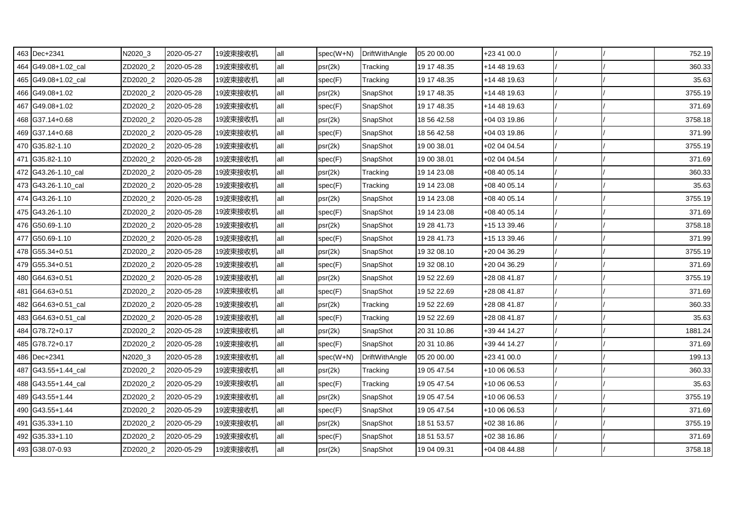| 463 Dec+2341        | N2020_3  | 2020-05-27 | 19波束接收机 | all | $spec(W+N)$ | DriftWithAngle | 05 20 00.00 | $+234100.0$  |  | 752.19  |
|---------------------|----------|------------|---------|-----|-------------|----------------|-------------|--------------|--|---------|
| 464 G49.08+1.02_cal | ZD2020_2 | 2020-05-28 | 19波束接收机 | all | psr(2k)     | Tracking       | 19 17 48.35 | +14 48 19.63 |  | 360.33  |
| 465 G49.08+1.02_cal | ZD2020_2 | 2020-05-28 | 19波束接收机 | all | spec(F)     | Tracking       | 19 17 48.35 | +14 48 19.63 |  | 35.63   |
| 466 G49.08+1.02     | ZD2020_2 | 2020-05-28 | 19波束接收机 | all | psr(2k)     | SnapShot       | 19 17 48.35 | +14 48 19.63 |  | 3755.19 |
| 467 G49.08+1.02     | ZD2020_2 | 2020-05-28 | 19波束接收机 | all | spec(F)     | SnapShot       | 19 17 48.35 | +14 48 19.63 |  | 371.69  |
| 468 G37.14+0.68     | ZD2020_2 | 2020-05-28 | 19波束接收机 | all | psr(2k)     | SnapShot       | 18 56 42.58 | +04 03 19.86 |  | 3758.18 |
| 469 G37.14+0.68     | ZD2020_2 | 2020-05-28 | 19波束接收机 | all | spec(F)     | SnapShot       | 18 56 42.58 | +04 03 19.86 |  | 371.99  |
| 470 G35.82-1.10     | ZD2020_2 | 2020-05-28 | 19波束接收机 | all | psr(2k)     | SnapShot       | 19 00 38.01 | +02 04 04.54 |  | 3755.19 |
| 471 G35.82-1.10     | ZD2020_2 | 2020-05-28 | 19波束接收机 | all | spec(F)     | SnapShot       | 19 00 38.01 | +02 04 04.54 |  | 371.69  |
| 472 G43.26-1.10 cal | ZD2020_2 | 2020-05-28 | 19波束接收机 | all | psr(2k)     | Tracking       | 19 14 23.08 | +08 40 05.14 |  | 360.33  |
| 473 G43.26-1.10_cal | ZD2020_2 | 2020-05-28 | 19波束接收机 | all | spec(F)     | Tracking       | 19 14 23.08 | +08 40 05.14 |  | 35.63   |
| 474 G43.26-1.10     | ZD2020_2 | 2020-05-28 | 19波束接收机 | all | psr(2k)     | SnapShot       | 19 14 23.08 | +08 40 05.14 |  | 3755.19 |
| 475 G43.26-1.10     | ZD2020 2 | 2020-05-28 | 19波束接收机 | all | spec(F)     | SnapShot       | 19 14 23.08 | +08 40 05.14 |  | 371.69  |
| 476 G50.69-1.10     | ZD2020_2 | 2020-05-28 | 19波束接收机 | all | psr(2k)     | SnapShot       | 19 28 41.73 | +15 13 39.46 |  | 3758.18 |
| 477 G50.69-1.10     | ZD2020_2 | 2020-05-28 | 19波束接收机 | all | spec(F)     | SnapShot       | 19 28 41.73 | +15 13 39.46 |  | 371.99  |
| 478 G55.34+0.51     | ZD2020_2 | 2020-05-28 | 19波束接收机 | all | psr(2k)     | SnapShot       | 19 32 08.10 | +20 04 36.29 |  | 3755.19 |
| 479 G55.34+0.51     | ZD2020_2 | 2020-05-28 | 19波束接收机 | all | spec(F)     | SnapShot       | 19 32 08.10 | +20 04 36.29 |  | 371.69  |
| 480 G64.63+0.51     | ZD2020 2 | 2020-05-28 | 19波束接收机 | all | psr(2k)     | SnapShot       | 19 52 22.69 | +28 08 41.87 |  | 3755.19 |
| 481 G64.63+0.51     | ZD2020_2 | 2020-05-28 | 19波束接收机 | all | spec(F)     | SnapShot       | 19 52 22.69 | +28 08 41.87 |  | 371.69  |
| 482 G64.63+0.51_cal | ZD2020_2 | 2020-05-28 | 19波束接收机 | all | psr(2k)     | Tracking       | 19 52 22.69 | +28 08 41.87 |  | 360.33  |
| 483 G64.63+0.51_cal | ZD2020_2 | 2020-05-28 | 19波束接收机 | all | spec(F)     | Tracking       | 19 52 22.69 | +28 08 41.87 |  | 35.63   |
| 484 G78.72+0.17     | ZD2020_2 | 2020-05-28 | 19波束接收机 | all | psr(2k)     | SnapShot       | 20 31 10.86 | +39 44 14.27 |  | 1881.24 |
| 485 G78.72+0.17     | ZD2020 2 | 2020-05-28 | 19波束接收机 | all | spec(F)     | SnapShot       | 20 31 10.86 | +39 44 14.27 |  | 371.69  |
| 486 Dec+2341        | N2020_3  | 2020-05-28 | 19波束接收机 | all | $spec(W+N)$ | DriftWithAngle | 05 20 00.00 | +23 41 00.0  |  | 199.13  |
| 487 G43.55+1.44_cal | ZD2020_2 | 2020-05-29 | 19波束接收机 | all | psr(2k)     | Tracking       | 19 05 47.54 | +10 06 06.53 |  | 360.33  |
| 488 G43.55+1.44_cal | ZD2020_2 | 2020-05-29 | 19波束接收机 | all | spec(F)     | Tracking       | 19 05 47.54 | +10 06 06.53 |  | 35.63   |
| 489 G43.55+1.44     | ZD2020_2 | 2020-05-29 | 19波束接收机 | all | psr(2k)     | SnapShot       | 19 05 47.54 | +10 06 06.53 |  | 3755.19 |
| 490 G43.55+1.44     | ZD2020_2 | 2020-05-29 | 19波束接收机 | all | spec(F)     | SnapShot       | 19 05 47.54 | +10 06 06.53 |  | 371.69  |
| 491 G35.33+1.10     | ZD2020_2 | 2020-05-29 | 19波束接收机 | all | psr(2k)     | SnapShot       | 18 51 53.57 | +02 38 16.86 |  | 3755.19 |
| 492 G35.33+1.10     | ZD2020_2 | 2020-05-29 | 19波束接收机 | all | spec(F)     | SnapShot       | 18 51 53.57 | +02 38 16.86 |  | 371.69  |
| 493 G38.07-0.93     | ZD2020_2 | 2020-05-29 | 19波束接收机 | all | psr(2k)     | SnapShot       | 19 04 09.31 | +04 08 44.88 |  | 3758.18 |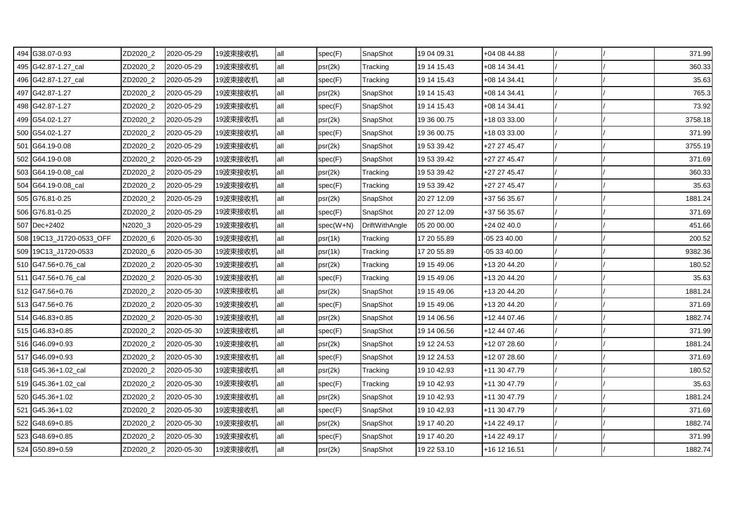| 494 G38.07-0.93          | ZD2020_2 | 2020-05-29 | 19波束接收机 | all | spec(F)   | SnapShot       | 19 04 09.31 | +04 08 44.88 |  | 371.99  |
|--------------------------|----------|------------|---------|-----|-----------|----------------|-------------|--------------|--|---------|
| 495 G42.87-1.27_cal      | ZD2020_2 | 2020-05-29 | 19波束接收机 | all | psr(2k)   | Tracking       | 19 14 15.43 | +08 14 34.41 |  | 360.33  |
| 496 G42.87-1.27_cal      | ZD2020_2 | 2020-05-29 | 19波束接收机 | all | spec(F)   | Tracking       | 19 14 15.43 | +08 14 34.41 |  | 35.63   |
| 497 G42.87-1.27          | ZD2020_2 | 2020-05-29 | 19波束接收机 | all | psr(2k)   | SnapShot       | 19 14 15.43 | +08 14 34.41 |  | 765.3   |
| 498 G42.87-1.27          | ZD2020_2 | 2020-05-29 | 19波束接收机 | all | spec(F)   | SnapShot       | 19 14 15.43 | +08 14 34.41 |  | 73.92   |
| 499 G54.02-1.27          | ZD2020_2 | 2020-05-29 | 19波束接收机 | all | psr(2k)   | SnapShot       | 19 36 00.75 | +18 03 33.00 |  | 3758.18 |
| 500 G54.02-1.27          | ZD2020_2 | 2020-05-29 | 19波束接收机 | all | spec(F)   | SnapShot       | 19 36 00.75 | +18 03 33.00 |  | 371.99  |
| 501 G64.19-0.08          | ZD2020_2 | 2020-05-29 | 19波束接收机 | all | psr(2k)   | SnapShot       | 19 53 39.42 | +27 27 45.47 |  | 3755.19 |
| 502 G64.19-0.08          | ZD2020_2 | 2020-05-29 | 19波束接收机 | all | spec(F)   | SnapShot       | 19 53 39.42 | +27 27 45.47 |  | 371.69  |
| 503 G64.19-0.08_cal      | ZD2020_2 | 2020-05-29 | 19波束接收机 | all | psr(2k)   | Tracking       | 19 53 39.42 | +27 27 45.47 |  | 360.33  |
| 504 G64.19-0.08_cal      | ZD2020_2 | 2020-05-29 | 19波束接收机 | all | spec(F)   | Tracking       | 19 53 39.42 | +27 27 45.47 |  | 35.63   |
| 505 G76.81-0.25          | ZD2020_2 | 2020-05-29 | 19波束接收机 | all | psr(2k)   | SnapShot       | 20 27 12.09 | +37 56 35.67 |  | 1881.24 |
| 506 G76.81-0.25          | ZD2020_2 | 2020-05-29 | 19波束接收机 | all | spec(F)   | SnapShot       | 20 27 12.09 | +37 56 35.67 |  | 371.69  |
| 507 Dec+2402             | N2020_3  | 2020-05-29 | 19波束接收机 | all | spec(W+N) | DriftWithAngle | 05 20 00.00 | +24 02 40.0  |  | 451.66  |
| 508 19C13_J1720-0533_OFF | ZD2020_6 | 2020-05-30 | 19波束接收机 | all | psr(1k)   | Tracking       | 17 20 55.89 | 05 23 40.00  |  | 200.52  |
| 509 19C13_J1720-0533     | ZD2020_6 | 2020-05-30 | 19波束接收机 | all | psr(1k)   | Tracking       | 17 20 55.89 | -05 33 40.00 |  | 9382.36 |
| 510 G47.56+0.76 cal      | ZD2020_2 | 2020-05-30 | 19波束接收机 | all | psr(2k)   | Tracking       | 19 15 49.06 | +13 20 44.20 |  | 180.52  |
| 511 G47.56+0.76 cal      | ZD2020 2 | 2020-05-30 | 19波束接收机 | all | spec(F)   | Tracking       | 19 15 49.06 | +13 20 44.20 |  | 35.63   |
| 512 G47.56+0.76          | ZD2020_2 | 2020-05-30 | 19波束接收机 | all | psr(2k)   | SnapShot       | 19 15 49.06 | +13 20 44.20 |  | 1881.24 |
| 513 G47.56+0.76          | ZD2020_2 | 2020-05-30 | 19波束接收机 | all | spec(F)   | SnapShot       | 19 15 49.06 | +13 20 44.20 |  | 371.69  |
| 514 G46.83+0.85          | ZD2020_2 | 2020-05-30 | 19波束接收机 | all | psr(2k)   | SnapShot       | 19 14 06.56 | +12 44 07.46 |  | 1882.74 |
| 515 G46.83+0.85          | ZD2020_2 | 2020-05-30 | 19波束接收机 | all | spec(F)   | SnapShot       | 19 14 06.56 | +12 44 07.46 |  | 371.99  |
| 516 G46.09+0.93          | ZD2020_2 | 2020-05-30 | 19波束接收机 | all | psr(2k)   | SnapShot       | 19 12 24.53 | +12 07 28.60 |  | 1881.24 |
| 517 G46.09+0.93          | ZD2020_2 | 2020-05-30 | 19波束接收机 | all | spec(F)   | SnapShot       | 19 12 24.53 | +12 07 28.60 |  | 371.69  |
| 518 G45.36+1.02_cal      | ZD2020_2 | 2020-05-30 | 19波束接收机 | all | psr(2k)   | Tracking       | 19 10 42.93 | +11 30 47.79 |  | 180.52  |
| 519 G45.36+1.02_cal      | ZD2020_2 | 2020-05-30 | 19波束接收机 | all | spec(F)   | Tracking       | 19 10 42.93 | +11 30 47.79 |  | 35.63   |
| 520 G45.36+1.02          | ZD2020_2 | 2020-05-30 | 19波束接收机 | all | psr(2k)   | SnapShot       | 19 10 42.93 | +11 30 47.79 |  | 1881.24 |
| 521 G45.36+1.02          | ZD2020_2 | 2020-05-30 | 19波束接收机 | all | spec(F)   | SnapShot       | 19 10 42.93 | +11 30 47.79 |  | 371.69  |
| 522 G48.69+0.85          | ZD2020_2 | 2020-05-30 | 19波束接收机 | all | psr(2k)   | SnapShot       | 19 17 40.20 | +14 22 49.17 |  | 1882.74 |
| 523 G48.69+0.85          | ZD2020_2 | 2020-05-30 | 19波束接收机 | all | spec(F)   | SnapShot       | 19 17 40.20 | +14 22 49.17 |  | 371.99  |
| 524 G50.89+0.59          | ZD2020_2 | 2020-05-30 | 19波束接收机 | all | psr(2k)   | SnapShot       | 19 22 53.10 | +16 12 16.51 |  | 1882.74 |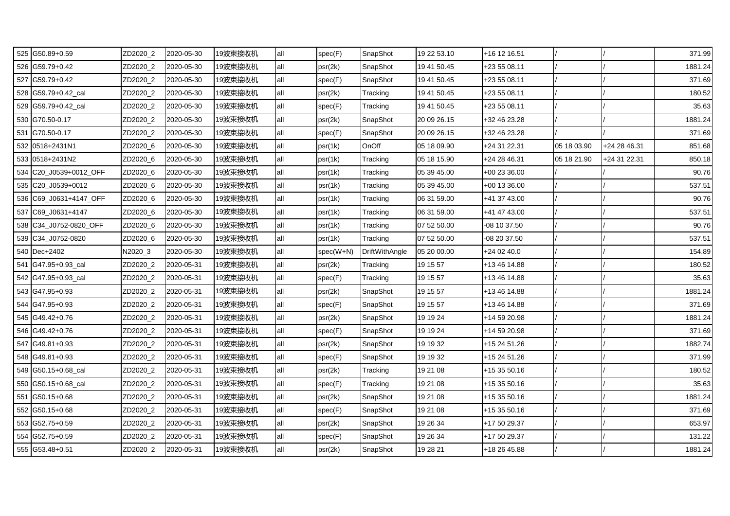| 525 G50.89+0.59        | ZD2020_2 | 2020-05-30 | 19波束接收机 | all | spec(F)   | SnapShot              | 19 22 53.10 | +16 12 16.51 |             |              | 371.99  |
|------------------------|----------|------------|---------|-----|-----------|-----------------------|-------------|--------------|-------------|--------------|---------|
| 526 G59.79+0.42        | ZD2020_2 | 2020-05-30 | 19波束接收机 | all | psr(2k)   | SnapShot              | 19 41 50.45 | +23 55 08.11 |             |              | 1881.24 |
| 527 G59.79+0.42        | ZD2020_2 | 2020-05-30 | 19波束接收机 | all | spec(F)   | SnapShot              | 19 41 50.45 | +23 55 08.11 |             |              | 371.69  |
| 528 G59.79+0.42_cal    | ZD2020_2 | 2020-05-30 | 19波束接收机 | all | psr(2k)   | Tracking              | 19 41 50.45 | +23 55 08.11 |             |              | 180.52  |
| 529 G59.79+0.42_cal    | ZD2020_2 | 2020-05-30 | 19波束接收机 | all | spec(F)   | Tracking              | 19 41 50.45 | +23 55 08.11 |             |              | 35.63   |
| 530 G70.50-0.17        | ZD2020_2 | 2020-05-30 | 19波束接收机 | all | psr(2k)   | SnapShot              | 20 09 26.15 | +32 46 23.28 |             |              | 1881.24 |
| 531 G70.50-0.17        | ZD2020 2 | 2020-05-30 | 19波束接收机 | all | spec(F)   | SnapShot              | 20 09 26.15 | +32 46 23.28 |             |              | 371.69  |
| 532 0518+2431N1        | ZD2020_6 | 2020-05-30 | 19波束接收机 | all | psr(1k)   | OnOff                 | 05 18 09.90 | +24 31 22.31 | 05 18 03.90 | +24 28 46.31 | 851.68  |
| 533 0518+2431N2        | ZD2020_6 | 2020-05-30 | 19波束接收机 | all | psr(1k)   | Tracking              | 05 18 15.90 | +24 28 46.31 | 05 18 21.90 | +24 31 22.31 | 850.18  |
| 534 C20_J0539+0012_OFF | ZD2020_6 | 2020-05-30 | 19波束接收机 | all | psr(1k)   | Tracking              | 05 39 45.00 | +00 23 36.00 |             |              | 90.76   |
| 535 C20_J0539+0012     | ZD2020_6 | 2020-05-30 | 19波束接收机 | all | psr(1k)   | Tracking              | 05 39 45.00 | +00 13 36.00 |             |              | 537.51  |
| 536 C69_J0631+4147_OFF | ZD2020_6 | 2020-05-30 | 19波束接收机 | all | psr(1k)   | Tracking              | 06 31 59.00 | +41 37 43.00 |             |              | 90.76   |
| 537 C69 J0631+4147     | ZD2020 6 | 2020-05-30 | 19波束接收机 | all | psr(1k)   | Tracking              | 06 31 59.00 | +41 47 43.00 |             |              | 537.51  |
| 538 C34_J0752-0820_OFF | ZD2020_6 | 2020-05-30 | 19波束接收机 | all | psr(1k)   | Tracking              | 07 52 50.00 | -08 10 37.50 |             |              | 90.76   |
| 539 C34_J0752-0820     | ZD2020_6 | 2020-05-30 | 19波束接收机 | all | psr(1k)   | Tracking              | 07 52 50.00 | 08 20 37.50  |             |              | 537.51  |
| 540 Dec+2402           | N2020_3  | 2020-05-30 | 19波束接收机 | all | spec(W+N) | <b>DriftWithAngle</b> | 05 20 00.00 | +24 02 40.0  |             |              | 154.89  |
| 541 G47.95+0.93 cal    | ZD2020_2 | 2020-05-31 | 19波束接收机 | all | psr(2k)   | Tracking              | 19 15 57    | +13 46 14.88 |             |              | 180.52  |
| 542 G47.95+0.93 cal    | ZD2020_2 | 2020-05-31 | 19波束接收机 | all | spec(F)   | Tracking              | 19 15 57    | +13 46 14.88 |             |              | 35.63   |
| 543 G47.95+0.93        | ZD2020_2 | 2020-05-31 | 19波束接收机 | all | psr(2k)   | SnapShot              | 19 15 57    | +13 46 14.88 |             |              | 1881.24 |
| 544 G47.95+0.93        | ZD2020_2 | 2020-05-31 | 19波束接收机 | all | spec(F)   | SnapShot              | 19 15 57    | +13 46 14.88 |             |              | 371.69  |
| 545 G49.42+0.76        | ZD2020 2 | 2020-05-31 | 19波束接收机 | all | psr(2k)   | SnapShot              | 19 19 24    | +14 59 20.98 |             |              | 1881.24 |
| 546 G49.42+0.76        | ZD2020_2 | 2020-05-31 | 19波束接收机 | all | spec(F)   | SnapShot              | 19 19 24    | +14 59 20.98 |             |              | 371.69  |
| 547 G49.81+0.93        | ZD2020_2 | 2020-05-31 | 19波束接收机 | all | psr(2k)   | SnapShot              | 19 19 32    | +15 24 51.26 |             |              | 1882.74 |
| 548 G49.81+0.93        | ZD2020_2 | 2020-05-31 | 19波束接收机 | all | spec(F)   | SnapShot              | 19 19 32    | +15 24 51.26 |             |              | 371.99  |
| 549 G50.15+0.68 cal    | ZD2020_2 | 2020-05-31 | 19波束接收机 | all | psr(2k)   | Tracking              | 19 21 08    | +15 35 50.16 |             |              | 180.52  |
| 550 G50.15+0.68 cal    | ZD2020_2 | 2020-05-31 | 19波束接收机 | all | spec(F)   | Tracking              | 19 21 08    | +15 35 50.16 |             |              | 35.63   |
| 551 G50.15+0.68        | ZD2020_2 | 2020-05-31 | 19波束接收机 | all | psr(2k)   | SnapShot              | 19 21 08    | +15 35 50.16 |             |              | 1881.24 |
| 552 G50.15+0.68        | ZD2020_2 | 2020-05-31 | 19波束接收机 | all | spec(F)   | SnapShot              | 19 21 08    | +15 35 50.16 |             |              | 371.69  |
| 553 G52.75+0.59        | ZD2020_2 | 2020-05-31 | 19波束接收机 | all | psr(2k)   | SnapShot              | 19 26 34    | +17 50 29.37 |             |              | 653.97  |
| 554 G52.75+0.59        | ZD2020_2 | 2020-05-31 | 19波束接收机 | all | spec(F)   | SnapShot              | 19 26 34    | +17 50 29.37 |             |              | 131.22  |
| 555 G53.48+0.51        | ZD2020_2 | 2020-05-31 | 19波束接收机 | all | psr(2k)   | SnapShot              | 19 28 21    | +18 26 45.88 |             |              | 1881.24 |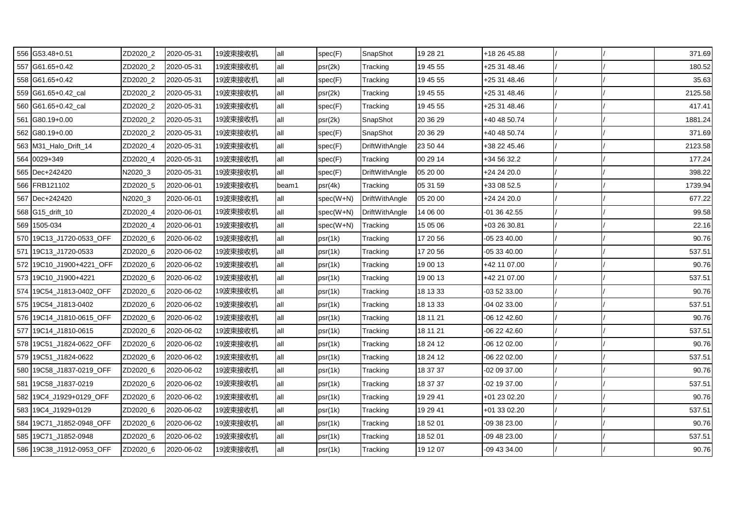| 556 G53.48+0.51          | ZD2020_2 | 2020-05-31 | 19波束接收机 | all   | spec(F)   | SnapShot              | 19 28 21 | +18 26 45.88 |  | 371.69  |
|--------------------------|----------|------------|---------|-------|-----------|-----------------------|----------|--------------|--|---------|
| 557 G61.65+0.42          | ZD2020_2 | 2020-05-31 | 19波束接收机 | all   | psr(2k)   | Tracking              | 19 45 55 | +25 31 48.46 |  | 180.52  |
| 558 G61.65+0.42          | ZD2020_2 | 2020-05-31 | 19波束接收机 | all   | spec(F)   | Tracking              | 19 45 55 | +25 31 48.46 |  | 35.63   |
| 559 G61.65+0.42_cal      | ZD2020_2 | 2020-05-31 | 19波束接收机 | all   | psr(2k)   | Tracking              | 19 45 55 | +25 31 48.46 |  | 2125.58 |
| 560 G61.65+0.42_cal      | ZD2020_2 | 2020-05-31 | 19波束接收机 | all   | spec(F)   | Tracking              | 19 45 55 | +25 31 48.46 |  | 417.41  |
| 561 G80.19+0.00          | ZD2020_2 | 2020-05-31 | 19波束接收机 | all   | psr(2k)   | SnapShot              | 20 36 29 | +40 48 50.74 |  | 1881.24 |
| 562 G80.19+0.00          | ZD2020_2 | 2020-05-31 | 19波束接收机 | all   | spec(F)   | SnapShot              | 20 36 29 | +40 48 50.74 |  | 371.69  |
| 563 M31_Halo_Drift_14    | ZD2020_4 | 2020-05-31 | 19波束接收机 | all   | spec(F)   | DriftWithAngle        | 23 50 44 | +38 22 45.46 |  | 2123.58 |
| 564 0029+349             | ZD2020_4 | 2020-05-31 | 19波束接收机 | all   | spec(F)   | Tracking              | 00 29 14 | +34 56 32.2  |  | 177.24  |
| 565 Dec+242420           | N2020_3  | 2020-05-31 | 19波束接收机 | all   | spec(F)   | <b>DriftWithAngle</b> | 05 20 00 | +24 24 20.0  |  | 398.22  |
| 566 FRB121102            | ZD2020_5 | 2020-06-01 | 19波束接收机 | beam1 | psr(4k)   | Tracking              | 05 31 59 | +33 08 52.5  |  | 1739.94 |
| 567 Dec+242420           | N2020_3  | 2020-06-01 | 19波束接收机 | all   | spec(W+N) | DriftWithAngle        | 05 20 00 | +24 24 20.0  |  | 677.22  |
| 568 G15_drift_10         | ZD2020_4 | 2020-06-01 | 19波束接收机 | all   | spec(W+N) | <b>DriftWithAngle</b> | 14 06 00 | -01 36 42.55 |  | 99.58   |
| 569 1505-034             | ZD2020_4 | 2020-06-01 | 19波束接收机 | all   | spec(W+N) | Tracking              | 15 05 06 | +03 26 30.81 |  | 22.16   |
| 570 19C13_J1720-0533_OFF | ZD2020_6 | 2020-06-02 | 19波束接收机 | all   | psr(1k)   | Tracking              | 17 20 56 | -05 23 40.00 |  | 90.76   |
| 571 19C13 J1720-0533     | ZD2020_6 | 2020-06-02 | 19波束接收机 | all   | psr(1k)   | Tracking              | 17 20 56 | -05 33 40.00 |  | 537.51  |
| 572 19C10_J1900+4221_OFF | ZD2020_6 | 2020-06-02 | 19波束接收机 | all   | psr(1k)   | Tracking              | 19 00 13 | +42 11 07.00 |  | 90.76   |
| 573 19C10 J1900+4221     | ZD2020_6 | 2020-06-02 | 19波束接收机 | all   | psr(1k)   | Tracking              | 19 00 13 | +42 21 07.00 |  | 537.51  |
| 574 19C54_J1813-0402_OFF | ZD2020_6 | 2020-06-02 | 19波束接收机 | all   | psr(1k)   | Tracking              | 18 13 33 | -03 52 33.00 |  | 90.76   |
| 575 19C54 J1813-0402     | ZD2020_6 | 2020-06-02 | 19波束接收机 | all   | psr(1k)   | Tracking              | 18 13 33 | -04 02 33.00 |  | 537.51  |
| 576 19C14_J1810-0615_OFF | ZD2020_6 | 2020-06-02 | 19波束接收机 | all   | psr(1k)   | Tracking              | 18 11 21 | -06 12 42.60 |  | 90.76   |
| 577 19C14_J1810-0615     | ZD2020_6 | 2020-06-02 | 19波束接收机 | all   | psr(1k)   | Tracking              | 18 11 21 | -06 22 42.60 |  | 537.51  |
| 578 19C51 J1824-0622 OFF | ZD2020_6 | 2020-06-02 | 19波束接收机 | all   | psr(1k)   | Tracking              | 18 24 12 | -06 12 02.00 |  | 90.76   |
| 579 19C51_J1824-0622     | ZD2020_6 | 2020-06-02 | 19波束接收机 | all   | psr(1k)   | Tracking              | 18 24 12 | -06 22 02.00 |  | 537.51  |
| 580 19C58_J1837-0219_OFF | ZD2020_6 | 2020-06-02 | 19波束接收机 | all   | psr(1k)   | Tracking              | 18 37 37 | -02 09 37.00 |  | 90.76   |
| 581 19C58_J1837-0219     | ZD2020_6 | 2020-06-02 | 19波束接收机 | all   | psr(1k)   | Tracking              | 18 37 37 | -02 19 37.00 |  | 537.51  |
| 582 19C4_J1929+0129_OFF  | ZD2020_6 | 2020-06-02 | 19波束接收机 | all   | psr(1k)   | Tracking              | 19 29 41 | +01 23 02.20 |  | 90.76   |
| 583 19C4 J1929+0129      | ZD2020_6 | 2020-06-02 | 19波束接收机 | all   | psr(1k)   | Tracking              | 19 29 41 | +01 33 02.20 |  | 537.51  |
| 584 19C71_J1852-0948_OFF | ZD2020_6 | 2020-06-02 | 19波束接收机 | all   | psr(1k)   | Tracking              | 18 52 01 | -09 38 23.00 |  | 90.76   |
| 585 19C71_J1852-0948     | ZD2020_6 | 2020-06-02 | 19波束接收机 | all   | psr(1k)   | Tracking              | 18 52 01 | 09 48 23.00  |  | 537.51  |
| 586 19C38_J1912-0953_OFF | ZD2020_6 | 2020-06-02 | 19波束接收机 | all   | psr(1k)   | Tracking              | 19 12 07 | -09 43 34.00 |  | 90.76   |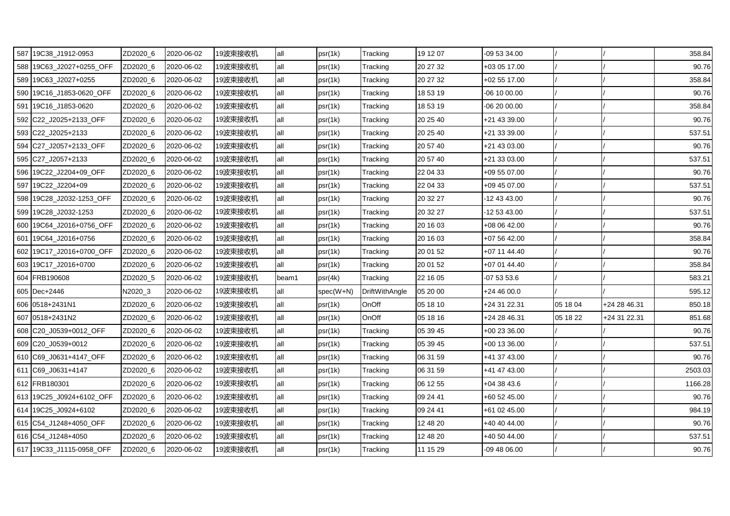| 587 19C38 J1912-0953     | ZD2020_6 | 2020-06-02 | 19波束接收机 | all   | psr(1k)     | Tracking              | 19 12 07 | -09 53 34.00 |          |              | 358.84  |
|--------------------------|----------|------------|---------|-------|-------------|-----------------------|----------|--------------|----------|--------------|---------|
| 588 19C63_J2027+0255_OFF | ZD2020 6 | 2020-06-02 | 19波束接收机 | all   | psr(1k)     | Tracking              | 20 27 32 | +03 05 17.00 |          |              | 90.76   |
| 589 19C63_J2027+0255     | ZD2020_6 | 2020-06-02 | 19波束接收机 | all   | psr(1k)     | Tracking              | 20 27 32 | +02 55 17.00 |          |              | 358.84  |
| 590 19C16_J1853-0620_OFF | ZD2020_6 | 2020-06-02 | 19波束接收机 | all   | psr(1k)     | Tracking              | 18 53 19 | -06 10 00.00 |          |              | 90.76   |
| 591 19C16_J1853-0620     | ZD2020_6 | 2020-06-02 | 19波束接收机 | all   | psr(1k)     | Tracking              | 18 53 19 | -06 20 00.00 |          |              | 358.84  |
| 592 C22_J2025+2133_OFF   | ZD2020_6 | 2020-06-02 | 19波束接收机 | all   | psr(1k)     | Tracking              | 20 25 40 | +21 43 39.00 |          |              | 90.76   |
| 593 C22_J2025+2133       | ZD2020_6 | 2020-06-02 | 19波束接收机 | all   | psr(1k)     | Tracking              | 20 25 40 | +21 33 39.00 |          |              | 537.51  |
| 594 C27 J2057+2133 OFF   | ZD2020 6 | 2020-06-02 | 19波束接收机 | all   | psr(1k)     | Tracking              | 20 57 40 | +21 43 03.00 |          |              | 90.76   |
| 595 C27 J2057+2133       | ZD2020_6 | 2020-06-02 | 19波束接收机 | all   | psr(1k)     | Tracking              | 20 57 40 | +21 33 03.00 |          |              | 537.51  |
| 596 19C22_J2204+09_OFF   | ZD2020_6 | 2020-06-02 | 19波束接收机 | all   | psr(1k)     | Tracking              | 22 04 33 | +09 55 07.00 |          |              | 90.76   |
| 597 19C22_J2204+09       | ZD2020_6 | 2020-06-02 | 19波束接收机 | all   | psr(1k)     | Tracking              | 22 04 33 | +09 45 07.00 |          |              | 537.51  |
| 598 19C28_J2032-1253_OFF | ZD2020_6 | 2020-06-02 | 19波束接收机 | all   | psr(1k)     | Tracking              | 20 32 27 | -12 43 43.00 |          |              | 90.76   |
| 599 19C28_J2032-1253     | ZD2020_6 | 2020-06-02 | 19波束接收机 | all   | psr(1k)     | Tracking              | 20 32 27 | -12 53 43.00 |          |              | 537.51  |
| 600 19C64 J2016+0756 OFF | ZD2020_6 | 2020-06-02 | 19波束接收机 | all   | psr(1k)     | Tracking              | 20 16 03 | +08 06 42.00 |          |              | 90.76   |
| 601 19C64 J2016+0756     | ZD2020_6 | 2020-06-02 | 19波束接收机 | all   | psr(1k)     | Tracking              | 20 16 03 | +07 56 42.00 |          |              | 358.84  |
| 602 19C17_J2016+0700_OFF | ZD2020_6 | 2020-06-02 | 19波束接收机 | all   | psr(1k)     | Tracking              | 20 01 52 | +07 11 44.40 |          |              | 90.76   |
| 603 19C17_J2016+0700     | ZD2020_6 | 2020-06-02 | 19波束接收机 | all   | psr(1k)     | Tracking              | 20 01 52 | +07 01 44.40 |          |              | 358.84  |
| 604 FRB190608            | ZD2020_5 | 2020-06-02 | 19波束接收机 | beam1 | psr(4k)     | Tracking              | 22 16 05 | -07 53 53.6  |          |              | 583.21  |
| 605 Dec+2446             | N2020_3  | 2020-06-02 | 19波束接收机 | all   | $spec(W+N)$ | <b>DriftWithAngle</b> | 05 20 00 | +24 46 00.0  |          |              | 595.12  |
| 606 0518+2431N1          | ZD2020_6 | 2020-06-02 | 19波束接收机 | all   | psr(1k)     | OnOff                 | 05 18 10 | +24 31 22.31 | 05 18 04 | +24 28 46.31 | 850.18  |
| 607 0518+2431N2          | ZD2020 6 | 2020-06-02 | 19波束接收机 | all   | psr(1k)     | OnOff                 | 05 18 16 | +24 28 46.31 | 05 18 22 | +24 31 22.31 | 851.68  |
| 608 C20 J0539+0012 OFF   | ZD2020_6 | 2020-06-02 | 19波束接收机 | all   | psr(1k)     | Tracking              | 05 39 45 | +00 23 36.00 |          |              | 90.76   |
| 609 C20_J0539+0012       | ZD2020_6 | 2020-06-02 | 19波束接收机 | all   | psr(1k)     | Tracking              | 05 39 45 | +00 13 36.00 |          |              | 537.51  |
| 610 C69_J0631+4147_OFF   | ZD2020_6 | 2020-06-02 | 19波束接收机 | all   | psr(1k)     | Tracking              | 06 31 59 | +41 37 43.00 |          |              | 90.76   |
| 611 C69_J0631+4147       | ZD2020_6 | 2020-06-02 | 19波束接收机 | all   | psr(1k)     | Tracking              | 06 31 59 | +41 47 43.00 |          |              | 2503.03 |
| 612 FRB180301            | ZD2020_6 | 2020-06-02 | 19波束接收机 | all   | psr(1k)     | Tracking              | 06 12 55 | +04 38 43.6  |          |              | 1166.28 |
| 613 19C25_J0924+6102_OFF | ZD2020_6 | 2020-06-02 | 19波束接收机 | all   | psr(1k)     | Tracking              | 09 24 41 | +60 52 45.00 |          |              | 90.76   |
| 614 19C25 J0924+6102     | ZD2020_6 | 2020-06-02 | 19波束接收机 | all   | psr(1k)     | Tracking              | 09 24 41 | +61 02 45.00 |          |              | 984.19  |
| 615 C54_J1248+4050_OFF   | ZD2020_6 | 2020-06-02 | 19波束接收机 | all   | psr(1k)     | Tracking              | 12 48 20 | +40 40 44.00 |          |              | 90.76   |
| 616 C54_J1248+4050       | ZD2020_6 | 2020-06-02 | 19波束接收机 | all   | psr(1k)     | Tracking              | 12 48 20 | +40 50 44.00 |          |              | 537.51  |
| 617 19C33_J1115-0958_OFF | ZD2020_6 | 2020-06-02 | 19波束接收机 | all   | psr(1k)     | Tracking              | 11 15 29 | -09 48 06.00 |          |              | 90.76   |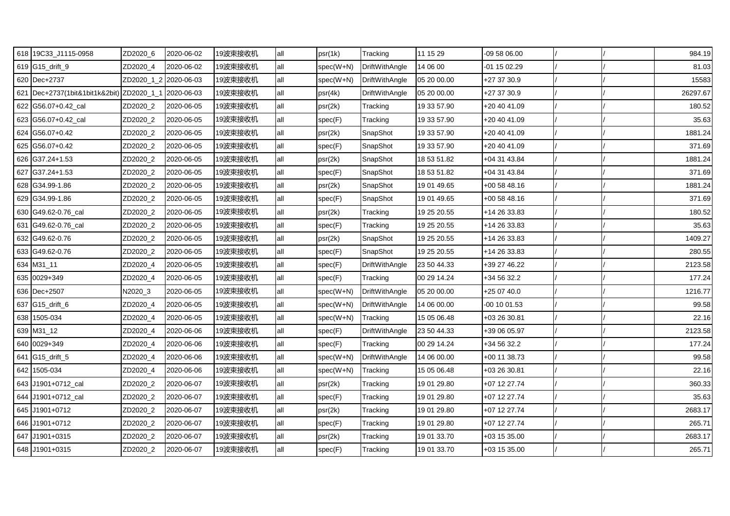| 618 19C33_J1115-0958                                 | ZD2020_6              | 2020-06-02 | 19波束接收机 | all | psr(1k)     | Tracking              | 11 15 29    | -09 58 06.00 |  | 984.19   |
|------------------------------------------------------|-----------------------|------------|---------|-----|-------------|-----------------------|-------------|--------------|--|----------|
| 619 G15_drift_9                                      | ZD2020_4              | 2020-06-02 | 19波束接收机 | all | spec(W+N)   | DriftWithAngle        | 14 06 00    | -01 15 02.29 |  | 81.03    |
| 620 Dec+2737                                         | ZD2020_1_2 2020-06-03 |            | 19波束接收机 | all | spec(W+N)   | DriftWithAngle        | 05 20 00.00 | +27 37 30.9  |  | 15583    |
| 621 Dec+2737(1bit&1bit1k&2bit) ZD2020_1_1 2020-06-03 |                       |            | 19波束接收机 | all | psr(4k)     | <b>DriftWithAngle</b> | 05 20 00.00 | +27 37 30.9  |  | 26297.67 |
| 622 G56.07+0.42_cal                                  | ZD2020_2              | 2020-06-05 | 19波束接收机 | all | psr(2k)     | Tracking              | 19 33 57.90 | +20 40 41.09 |  | 180.52   |
| 623 G56.07+0.42 cal                                  | ZD2020_2              | 2020-06-05 | 19波束接收机 | all | spec(F)     | Tracking              | 19 33 57.90 | +20 40 41.09 |  | 35.63    |
| 624 G56.07+0.42                                      | ZD2020 2              | 2020-06-05 | 19波束接收机 | all | psr(2k)     | SnapShot              | 19 33 57.90 | +20 40 41.09 |  | 1881.24  |
| 625 G56.07+0.42                                      | ZD2020_2              | 2020-06-05 | 19波束接收机 | all | spec(F)     | SnapShot              | 19 33 57.90 | +20 40 41.09 |  | 371.69   |
| 626 G37.24+1.53                                      | ZD2020_2              | 2020-06-05 | 19波束接收机 | all | psr(2k)     | SnapShot              | 18 53 51.82 | +04 31 43.84 |  | 1881.24  |
| 627 G37.24+1.53                                      | ZD2020_2              | 2020-06-05 | 19波束接收机 | all | spec(F)     | SnapShot              | 18 53 51.82 | +04 31 43.84 |  | 371.69   |
| 628 G34.99-1.86                                      | ZD2020_2              | 2020-06-05 | 19波束接收机 | all | psr(2k)     | SnapShot              | 19 01 49.65 | +00 58 48.16 |  | 1881.24  |
| 629 G34.99-1.86                                      | ZD2020_2              | 2020-06-05 | 19波束接收机 | all | spec(F)     | SnapShot              | 19 01 49.65 | +00 58 48.16 |  | 371.69   |
| 630 G49.62-0.76 cal                                  | ZD2020 2              | 2020-06-05 | 19波束接收机 | all | psr(2k)     | Tracking              | 19 25 20.55 | +14 26 33.83 |  | 180.52   |
| 631 G49.62-0.76 cal                                  | ZD2020_2              | 2020-06-05 | 19波束接收机 | all | spec(F)     | Tracking              | 19 25 20.55 | +14 26 33.83 |  | 35.63    |
| 632 G49.62-0.76                                      | ZD2020_2              | 2020-06-05 | 19波束接收机 | all | psr(2k)     | SnapShot              | 19 25 20.55 | +14 26 33.83 |  | 1409.27  |
| 633 G49.62-0.76                                      | ZD2020_2              | 2020-06-05 | 19波束接收机 | all | spec(F)     | SnapShot              | 19 25 20.55 | +14 26 33.83 |  | 280.55   |
| 634 M31_11                                           | ZD2020_4              | 2020-06-05 | 19波束接收机 | all | spec(F)     | DriftWithAngle        | 23 50 44.33 | +39 27 46.22 |  | 2123.58  |
| 635 0029+349                                         | ZD2020 4              | 2020-06-05 | 19波束接收机 | all | spec(F)     | Tracking              | 00 29 14.24 | +34 56 32.2  |  | 177.24   |
| 636 Dec+2507                                         | N2020_3               | 2020-06-05 | 19波束接收机 | all | spec(W+N)   | DriftWithAngle        | 05 20 00.00 | +25 07 40.0  |  | 1216.77  |
| 637 G15_drift_6                                      | ZD2020_4              | 2020-06-05 | 19波束接收机 | all | $spec(W+N)$ | <b>DriftWithAngle</b> | 14 06 00.00 | 00 10 01.53  |  | 99.58    |
| 638 1505-034                                         | ZD2020 4              | 2020-06-05 | 19波束接收机 | all | spec(W+N)   | Tracking              | 15 05 06.48 | +03 26 30.81 |  | 22.16    |
| 639 M31_12                                           | ZD2020_4              | 2020-06-06 | 19波束接收机 | all | spec(F)     | <b>DriftWithAngle</b> | 23 50 44.33 | +39 06 05.97 |  | 2123.58  |
| 640 0029+349                                         | ZD2020 4              | 2020-06-06 | 19波束接收机 | all | spec(F)     | Tracking              | 00 29 14.24 | +34 56 32.2  |  | 177.24   |
| 641 G15_drift_5                                      | ZD2020_4              | 2020-06-06 | 19波束接收机 | all | $spec(W+N)$ | DriftWithAngle        | 14 06 00.00 | +00 11 38.73 |  | 99.58    |
| 642 1505-034                                         | ZD2020_4              | 2020-06-06 | 19波束接收机 | all | $spec(W+N)$ | Tracking              | 15 05 06.48 | +03 26 30.81 |  | 22.16    |
| 643 J1901+0712_cal                                   | ZD2020_2              | 2020-06-07 | 19波束接收机 | all | psr(2k)     | Tracking              | 19 01 29.80 | +07 12 27.74 |  | 360.33   |
| 644 J1901+0712_cal                                   | ZD2020_2              | 2020-06-07 | 19波束接收机 | all | spec(F)     | Tracking              | 19 01 29.80 | +07 12 27.74 |  | 35.63    |
| 645 J1901+0712                                       | ZD2020_2              | 2020-06-07 | 19波束接收机 | all | psr(2k)     | Tracking              | 19 01 29.80 | +07 12 27.74 |  | 2683.17  |
| 646 J1901+0712                                       | ZD2020_2              | 2020-06-07 | 19波束接收机 | all | spec(F)     | Tracking              | 19 01 29.80 | +07 12 27.74 |  | 265.71   |
| 647 J1901+0315                                       | ZD2020_2              | 2020-06-07 | 19波束接收机 | all | psr(2k)     | Tracking              | 19 01 33.70 | +03 15 35.00 |  | 2683.17  |
| 648 J1901+0315                                       | ZD2020_2              | 2020-06-07 | 19波束接收机 | all | spec(F)     | Tracking              | 19 01 33.70 | +03 15 35.00 |  | 265.71   |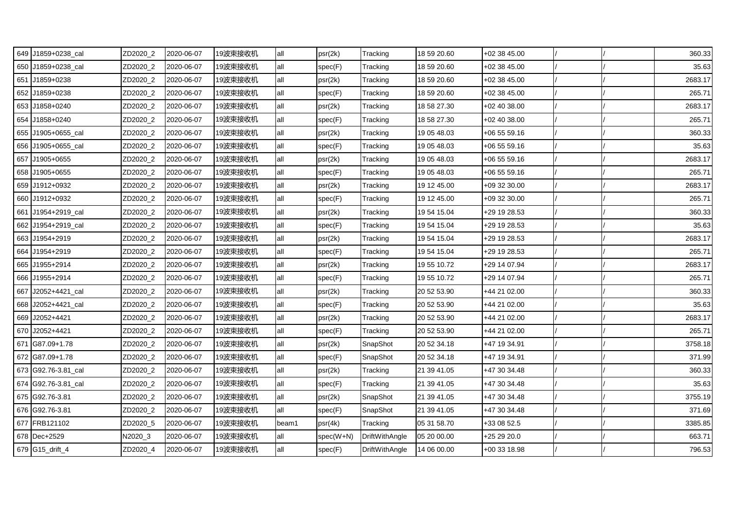| 649 J1859+0238_cal  | ZD2020_2 | 2020-06-07 | 19波束接收机 | all   | psr(2k)     | Tracking              | 18 59 20.60 | +02 38 45.00 |  | 360.33  |
|---------------------|----------|------------|---------|-------|-------------|-----------------------|-------------|--------------|--|---------|
| 650 J1859+0238 cal  | ZD2020_2 | 2020-06-07 | 19波束接收机 | all   | spec(F)     | Tracking              | 18 59 20.60 | +02 38 45.00 |  | 35.63   |
| 651 J1859+0238      | ZD2020_2 | 2020-06-07 | 19波束接收机 | all   | psr(2k)     | Tracking              | 18 59 20.60 | +02 38 45.00 |  | 2683.17 |
| 652 J1859+0238      | ZD2020_2 | 2020-06-07 | 19波束接收机 | all   | spec(F)     | Tracking              | 18 59 20.60 | +02 38 45.00 |  | 265.71  |
| 653 J1858+0240      | ZD2020_2 | 2020-06-07 | 19波束接收机 | all   | psr(2k)     | Tracking              | 18 58 27.30 | +02 40 38.00 |  | 2683.17 |
| 654 J1858+0240      | ZD2020_2 | 2020-06-07 | 19波束接收机 | all   | spec(F)     | Tracking              | 18 58 27.30 | +02 40 38.00 |  | 265.71  |
| 655 J1905+0655_cal  | ZD2020_2 | 2020-06-07 | 19波束接收机 | all   | psr(2k)     | Tracking              | 19 05 48.03 | +06 55 59.16 |  | 360.33  |
| 656 J1905+0655 cal  | ZD2020_2 | 2020-06-07 | 19波束接收机 | all   | spec(F)     | Tracking              | 19 05 48.03 | +06 55 59.16 |  | 35.63   |
| 657 J1905+0655      | ZD2020 2 | 2020-06-07 | 19波束接收机 | all   | psr(2k)     | Tracking              | 19 05 48.03 | +06 55 59.16 |  | 2683.17 |
| 658 J1905+0655      | ZD2020_2 | 2020-06-07 | 19波束接收机 | all   | spec(F)     | Tracking              | 19 05 48.03 | +06 55 59.16 |  | 265.71  |
| 659 J1912+0932      | ZD2020_2 | 2020-06-07 | 19波束接收机 | all   | psr(2k)     | Tracking              | 19 12 45.00 | +09 32 30.00 |  | 2683.17 |
| 660 J1912+0932      | ZD2020_2 | 2020-06-07 | 19波束接收机 | all   | spec(F)     | Tracking              | 19 12 45.00 | +09 32 30.00 |  | 265.71  |
| 661 J1954+2919 cal  | ZD2020_2 | 2020-06-07 | 19波束接收机 | all   | psr(2k)     | Tracking              | 19 54 15.04 | +29 19 28.53 |  | 360.33  |
| 662 J1954+2919_cal  | ZD2020_2 | 2020-06-07 | 19波束接收机 | all   | spec(F)     | Tracking              | 19 54 15.04 | +29 19 28.53 |  | 35.63   |
| 663 J1954+2919      | ZD2020_2 | 2020-06-07 | 19波束接收机 | all   | psr(2k)     | Tracking              | 19 54 15.04 | +29 19 28.53 |  | 2683.17 |
| 664 J1954+2919      | ZD2020_2 | 2020-06-07 | 19波束接收机 | all   | spec(F)     | Tracking              | 19 54 15.04 | +29 19 28.53 |  | 265.71  |
| 665 J1955+2914      | ZD2020_2 | 2020-06-07 | 19波束接收机 | all   | psr(2k)     | Tracking              | 19 55 10.72 | +29 14 07.94 |  | 2683.17 |
| 666 J1955+2914      | ZD2020_2 | 2020-06-07 | 19波束接收机 | all   | spec(F)     | Tracking              | 19 55 10.72 | +29 14 07.94 |  | 265.71  |
| 667 J2052+4421_cal  | ZD2020_2 | 2020-06-07 | 19波束接收机 | all   | psr(2k)     | Tracking              | 20 52 53.90 | +44 21 02.00 |  | 360.33  |
| 668 J2052+4421_cal  | ZD2020_2 | 2020-06-07 | 19波束接收机 | all   | spec(F)     | Tracking              | 20 52 53.90 | +44 21 02.00 |  | 35.63   |
| 669 J2052+4421      | ZD2020_2 | 2020-06-07 | 19波束接收机 | all   | psr(2k)     | Tracking              | 20 52 53.90 | +44 21 02.00 |  | 2683.17 |
| 670 J2052+4421      | ZD2020_2 | 2020-06-07 | 19波束接收机 | all   | spec(F)     | Tracking              | 20 52 53.90 | +44 21 02.00 |  | 265.71  |
| 671 G87.09+1.78     | ZD2020_2 | 2020-06-07 | 19波束接收机 | all   | psr(2k)     | SnapShot              | 20 52 34.18 | +47 19 34.91 |  | 3758.18 |
| 672 G87.09+1.78     | ZD2020_2 | 2020-06-07 | 19波束接收机 | all   | spec(F)     | SnapShot              | 20 52 34.18 | +47 19 34.91 |  | 371.99  |
| 673 G92.76-3.81_cal | ZD2020_2 | 2020-06-07 | 19波束接收机 | all   | psr(2k)     | Tracking              | 21 39 41.05 | +47 30 34.48 |  | 360.33  |
| 674 G92.76-3.81_cal | ZD2020_2 | 2020-06-07 | 19波束接收机 | all   | spec(F)     | Tracking              | 21 39 41.05 | +47 30 34.48 |  | 35.63   |
| 675 G92.76-3.81     | ZD2020_2 | 2020-06-07 | 19波束接收机 | all   | psr(2k)     | SnapShot              | 21 39 41.05 | +47 30 34.48 |  | 3755.19 |
| 676 G92.76-3.81     | ZD2020_2 | 2020-06-07 | 19波束接收机 | all   | spec(F)     | SnapShot              | 21 39 41.05 | +47 30 34.48 |  | 371.69  |
| 677 FRB121102       | ZD2020_5 | 2020-06-07 | 19波束接收机 | beam1 | psr(4k)     | Tracking              | 05 31 58.70 | +33 08 52.5  |  | 3385.85 |
| 678 Dec+2529        | N2020_3  | 2020-06-07 | 19波束接收机 | all   | $spec(W+N)$ | <b>DriftWithAngle</b> | 05 20 00.00 | +25 29 20.0  |  | 663.71  |
| 679 G15_drift_4     | ZD2020_4 | 2020-06-07 | 19波束接收机 | all   | spec(F)     | DriftWithAngle        | 14 06 00.00 | +00 33 18.98 |  | 796.53  |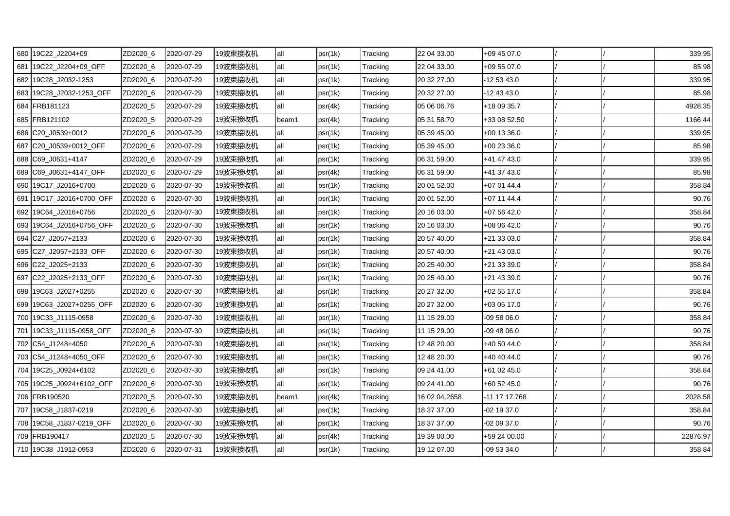| 680 19C22_J2204+09       | ZD2020_6 | 2020-07-29 | 19波束接收机 | all   | psr(1k) | Tracking | 22 04 33.00   | +09 45 07.0   |  | 339.95   |
|--------------------------|----------|------------|---------|-------|---------|----------|---------------|---------------|--|----------|
| 681 19C22_J2204+09_OFF   | ZD2020_6 | 2020-07-29 | 19波束接收机 | all   | psr(1k) | Tracking | 22 04 33.00   | +09 55 07.0   |  | 85.98    |
| 682 19C28 J2032-1253     | ZD2020_6 | 2020-07-29 | 19波束接收机 | all   | psr(1k) | Tracking | 20 32 27.00   | -12 53 43.0   |  | 339.95   |
| 683 19C28_J2032-1253_OFF | ZD2020_6 | 2020-07-29 | 19波束接收机 | all   | psr(1k) | Tracking | 20 32 27.00   | -12 43 43.0   |  | 85.98    |
| 684 FRB181123            | ZD2020_5 | 2020-07-29 | 19波束接收机 | all   | psr(4k) | Tracking | 05 06 06.76   | +18 09 35.7   |  | 4928.35  |
| 685 FRB121102            | ZD2020_5 | 2020-07-29 | 19波束接收机 | beam1 | psr(4k) | Tracking | 05 31 58.70   | +33 08 52.50  |  | 1166.44  |
| 686 C20_J0539+0012       | ZD2020_6 | 2020-07-29 | 19波束接收机 | all   | psr(1k) | Tracking | 05 39 45.00   | $+00$ 13 36.0 |  | 339.95   |
| 687 C20_J0539+0012_OFF   | ZD2020_6 | 2020-07-29 | 19波束接收机 | all   | psr(1k) | Tracking | 05 39 45.00   | +00 23 36.0   |  | 85.98    |
| 688 C69_J0631+4147       | ZD2020_6 | 2020-07-29 | 19波束接收机 | all   | psr(1k) | Tracking | 06 31 59.00   | +41 47 43.0   |  | 339.95   |
| 689 C69_J0631+4147_OFF   | ZD2020_6 | 2020-07-29 | 19波束接收机 | all   | psr(4k) | Tracking | 06 31 59.00   | +41 37 43.0   |  | 85.98    |
| 690 19C17_J2016+0700     | ZD2020_6 | 2020-07-30 | 19波束接收机 | all   | psr(1k) | Tracking | 20 01 52.00   | +07 01 44.4   |  | 358.84   |
| 691 19C17_J2016+0700_OFF | ZD2020_6 | 2020-07-30 | 19波束接收机 | all   | psr(1k) | Tracking | 20 01 52.00   | +07 11 44.4   |  | 90.76    |
| 692 19C64 J2016+0756     | ZD2020_6 | 2020-07-30 | 19波束接收机 | all   | psr(1k) | Tracking | 20 16 03.00   | +07 56 42.0   |  | 358.84   |
| 693 19C64_J2016+0756_OFF | ZD2020_6 | 2020-07-30 | 19波束接收机 | all   | psr(1k) | Tracking | 20 16 03.00   | +08 06 42.0   |  | 90.76    |
| 694 C27_J2057+2133       | ZD2020_6 | 2020-07-30 | 19波束接收机 | all   | psr(1k) | Tracking | 20 57 40.00   | +21 33 03.0   |  | 358.84   |
| 695 C27_J2057+2133_OFF   | ZD2020_6 | 2020-07-30 | 19波束接收机 | all   | psr(1k) | Tracking | 20 57 40.00   | +21 43 03.0   |  | 90.76    |
| 696 C22_J2025+2133       | ZD2020_6 | 2020-07-30 | 19波束接收机 | all   | psr(1k) | Tracking | 20 25 40.00   | +21 33 39.0   |  | 358.84   |
| 697 C22 J2025+2133 OFF   | ZD2020 6 | 2020-07-30 | 19波束接收机 | all   | psr(1k) | Tracking | 20 25 40.00   | +21 43 39.0   |  | 90.76    |
| 698 19C63_J2027+0255     | ZD2020_6 | 2020-07-30 | 19波束接收机 | all   | psr(1k) | Tracking | 20 27 32.00   | $+025517.0$   |  | 358.84   |
| 699 19C63_J2027+0255_OFF | ZD2020_6 | 2020-07-30 | 19波束接收机 | all   | psr(1k) | Tracking | 20 27 32.00   | +03 05 17.0   |  | 90.76    |
| 700 19C33_J1115-0958     | ZD2020_6 | 2020-07-30 | 19波束接收机 | all   | psr(1k) | Tracking | 11 15 29.00   | -09 58 06.0   |  | 358.84   |
| 701 19C33_J1115-0958_OFF | ZD2020_6 | 2020-07-30 | 19波束接收机 | all   | psr(1k) | Tracking | 11 15 29.00   | $-094806.0$   |  | 90.76    |
| 702 C54 J1248+4050       | ZD2020_6 | 2020-07-30 | 19波束接收机 | all   | psr(1k) | Tracking | 12 48 20.00   | +40 50 44.0   |  | 358.84   |
| 703 C54_J1248+4050_OFF   | ZD2020_6 | 2020-07-30 | 19波束接收机 | all   | psr(1k) | Tracking | 12 48 20.00   | +40 40 44.0   |  | 90.76    |
| 704 19C25_J0924+6102     | ZD2020_6 | 2020-07-30 | 19波束接收机 | all   | psr(1k) | Tracking | 09 24 41.00   | +61 02 45.0   |  | 358.84   |
| 705 19C25_J0924+6102_OFF | ZD2020_6 | 2020-07-30 | 19波束接收机 | all   | psr(1k) | Tracking | 09 24 41.00   | +60 52 45.0   |  | 90.76    |
| 706 FRB190520            | ZD2020_5 | 2020-07-30 | 19波束接收机 | beam1 | psr(4k) | Tracking | 16 02 04.2658 | -11 17 17.768 |  | 2028.58  |
| 707 19C58 J1837-0219     | ZD2020_6 | 2020-07-30 | 19波束接收机 | all   | psr(1k) | Tracking | 18 37 37.00   | -02 19 37.0   |  | 358.84   |
| 708 19C58_J1837-0219_OFF | ZD2020_6 | 2020-07-30 | 19波束接收机 | all   | psr(1k) | Tracking | 18 37 37.00   | -02 09 37.0   |  | 90.76    |
| 709 FRB190417            | ZD2020_5 | 2020-07-30 | 19波束接收机 | all   | psr(4k) | Tracking | 19 39 00.00   | +59 24 00.00  |  | 22876.97 |
| 710 19C38_J1912-0953     | ZD2020_6 | 2020-07-31 | 19波束接收机 | all   | psr(1k) | Tracking | 19 12 07.00   | -09 53 34.0   |  | 358.84   |